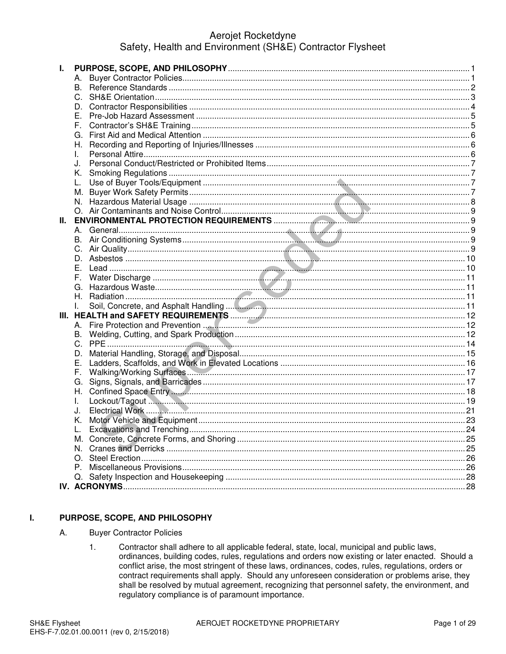# Aerojet Rocketdyne Safety, Health and Environment (SH&E) Contractor Flysheet

| L. |    |     |
|----|----|-----|
|    |    |     |
|    |    |     |
|    |    |     |
|    | D. |     |
|    | Е. |     |
|    |    |     |
|    | F. |     |
|    | G. |     |
|    |    |     |
|    | L. |     |
|    | J. |     |
|    | K. |     |
|    |    |     |
|    |    |     |
|    |    |     |
|    |    |     |
| Ш. |    |     |
|    |    |     |
|    |    |     |
|    |    |     |
|    |    |     |
|    | Е. |     |
|    |    |     |
|    |    |     |
|    |    |     |
|    |    |     |
|    |    |     |
|    |    |     |
|    |    |     |
|    |    |     |
|    | D. |     |
|    | Е. |     |
|    | F. |     |
|    | G. |     |
|    | Η. |     |
|    | I. |     |
|    | J. |     |
|    | Κ. |     |
|    |    | .24 |
|    |    |     |
|    |    |     |
|    | N. |     |
|    | O. |     |
|    |    |     |
|    |    |     |
|    |    |     |

#### L. PURPOSE, SCOPE, AND PHILOSOPHY

- A. **Buyer Contractor Policies** 
	- Contractor shall adhere to all applicable federal, state, local, municipal and public laws,  $1.$ ordinances, building codes, rules, regulations and orders now existing or later enacted. Should a conflict arise, the most stringent of these laws, ordinances, codes, rules, regulations, orders or contract requirements shall apply. Should any unforeseen consideration or problems arise, they shall be resolved by mutual agreement, recognizing that personnel safety, the environment, and regulatory compliance is of paramount importance.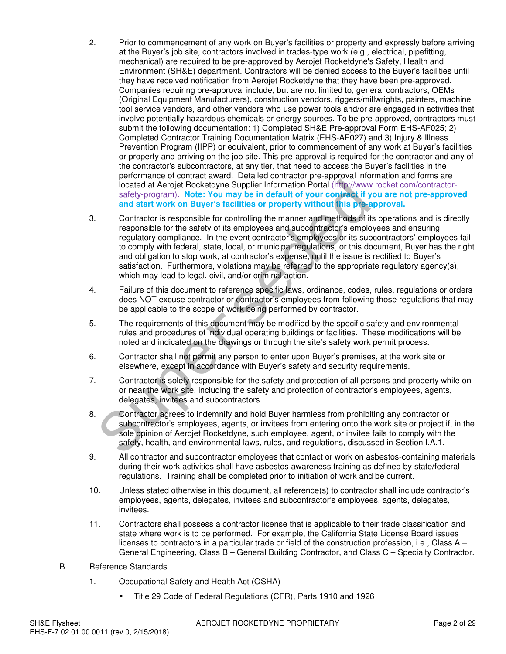- 2. Prior to commencement of any work on Buyer's facilities or property and expressly before arriving at the Buyer's job site, contractors involved in trades-type work (e.g., electrical, pipefitting, mechanical) are required to be pre-approved by Aerojet Rocketdyne's Safety, Health and Environment (SH&E) department. Contractors will be denied access to the Buyer's facilities until they have received notification from Aerojet Rocketdyne that they have been pre-approved. Companies requiring pre-approval include, but are not limited to, general contractors, OEMs (Original Equipment Manufacturers), construction vendors, riggers/millwrights, painters, machine tool service vendors, and other vendors who use power tools and/or are engaged in activities that involve potentially hazardous chemicals or energy sources. To be pre-approved, contractors must submit the following documentation: 1) Completed SH&E Pre-approval Form EHS-AF025; 2) Completed Contractor Training Documentation Matrix (EHS-AF027) and 3) Injury & Illness Prevention Program (IIPP) or equivalent, prior to commencement of any work at Buyer's facilities or property and arriving on the job site. This pre-approval is required for the contractor and any of the contractor's subcontractors, at any tier, that need to access the Buyer's facilities in the performance of contract award. Detailed contractor pre-approval information and forms are located at Aerojet Rocketdyne Supplier Information Portal (http://www.rocket.com/contractorsafety-program). **Note: You may be in default of your contract if you are not pre-approved and start work on Buyer's facilities or property without this pre-approval.**
- 3. Contractor is responsible for controlling the manner and methods of its operations and is directly responsible for the safety of its employees and subcontractor's employees and ensuring regulatory compliance. In the event contractor's employees or its subcontractors' employees fail to comply with federal, state, local, or municipal regulations, or this document, Buyer has the right and obligation to stop work, at contractor's expense, until the issue is rectified to Buyer's satisfaction. Furthermore, violations may be referred to the appropriate regulatory agency(s), which may lead to legal, civil, and/or criminal action. located at Aerojet Rocketdyne Supplier Information Portal (http://www.safety-program). Note: You may be in default of your contract if year. and start vork on Buyer's facilities or property without this pre-are Contractor
- 4. Failure of this document to reference specific laws, ordinance, codes, rules, regulations or orders does NOT excuse contractor or contractor's employees from following those regulations that may be applicable to the scope of work being performed by contractor.
- 5. The requirements of this document may be modified by the specific safety and environmental rules and procedures of individual operating buildings or facilities. These modifications will be noted and indicated on the drawings or through the site's safety work permit process.
- 6. Contractor shall not permit any person to enter upon Buyer's premises, at the work site or elsewhere, except in accordance with Buyer's safety and security requirements.
- 7. Contractor is solely responsible for the safety and protection of all persons and property while on or near the work site, including the safety and protection of contractor's employees, agents, delegates, invitees and subcontractors.
- 8. Contractor agrees to indemnify and hold Buyer harmless from prohibiting any contractor or subcontractor's employees, agents, or invitees from entering onto the work site or project if, in the sole opinion of Aerojet Rocketdyne, such employee, agent, or invitee fails to comply with the safety, health, and environmental laws, rules, and regulations, discussed in Section I.A.1.
- 9. All contractor and subcontractor employees that contact or work on asbestos-containing materials during their work activities shall have asbestos awareness training as defined by state/federal regulations. Training shall be completed prior to initiation of work and be current.
- 10. Unless stated otherwise in this document, all reference(s) to contractor shall include contractor's employees, agents, delegates, invitees and subcontractor's employees, agents, delegates, invitees.
- 11. Contractors shall possess a contractor license that is applicable to their trade classification and state where work is to be performed. For example, the California State License Board issues licenses to contractors in a particular trade or field of the construction profession, i.e., Class A – General Engineering, Class B – General Building Contractor, and Class C – Specialty Contractor.
- B. Reference Standards
	- 1. Occupational Safety and Health Act (OSHA)
		- Title 29 Code of Federal Regulations (CFR), Parts 1910 and 1926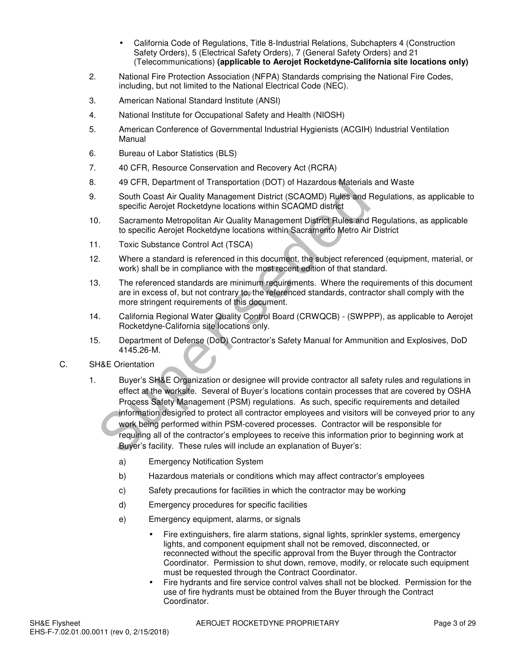- California Code of Regulations, Title 8-Industrial Relations, Subchapters 4 (Construction Safety Orders), 5 (Electrical Safety Orders), 7 (General Safety Orders) and 21 (Telecommunications) **(applicable to Aerojet Rocketdyne-California site locations only)**
- 2. National Fire Protection Association (NFPA) Standards comprising the National Fire Codes, including, but not limited to the National Electrical Code (NEC).
- 3. American National Standard Institute (ANSI)
- 4. National Institute for Occupational Safety and Health (NIOSH)
- 5. American Conference of Governmental Industrial Hygienists (ACGIH) Industrial Ventilation Manual
- 6. Bureau of Labor Statistics (BLS)
- 7. 40 CFR, Resource Conservation and Recovery Act (RCRA)
- 8. 49 CFR, Department of Transportation (DOT) of Hazardous Materials and Waste
- 9. South Coast Air Quality Management District (SCAQMD) Rules and Regulations, as applicable to specific Aerojet Rocketdyne locations within SCAQMD district
- 10. Sacramento Metropolitan Air Quality Management District Rules and Regulations, as applicable to specific Aerojet Rocketdyne locations within Sacramento Metro Air District
- 11. Toxic Substance Control Act (TSCA)
- 12. Where a standard is referenced in this document, the subject referenced (equipment, material, or work) shall be in compliance with the most recent edition of that standard.
- 13. The referenced standards are minimum requirements. Where the requirements of this document are in excess of, but not contrary to, the referenced standards, contractor shall comply with the more stringent requirements of this document.
- 14. California Regional Water Quality Control Board (CRWQCB) (SWPPP), as applicable to Aerojet Rocketdyne-California site locations only.
- 15. Department of Defense (DoD) Contractor's Safety Manual for Ammunition and Explosives, DoD 4145.26-M.
- C. SH&E Orientation
- 1. Buyer's SH&E Organization or designee will provide contractor all safety rules and regulations in effect at the worksite. Several of Buyer's locations contain processes that are covered by OSHA Process Safety Management (PSM) regulations. As such, specific requirements and detailed information designed to protect all contractor employees and visitors will be conveyed prior to any work being performed within PSM-covered processes. Contractor will be responsible for requiring all of the contractor's employees to receive this information prior to beginning work at Buyer's facility. These rules will include an explanation of Buyer's: 49 CFR, Department of Transportation (DOT) of Hazardous Materials<br>
South Coast Air Quality Management District (SCAQMD) Fulles and R<br>
specific Aerojet Rocketdyne locations within SCAQMD district<br>
Sacramento Metropolitan Ai
	- a) Emergency Notification System
	- b) Hazardous materials or conditions which may affect contractor's employees
	- c) Safety precautions for facilities in which the contractor may be working
	- d) Emergency procedures for specific facilities
	- e) Emergency equipment, alarms, or signals
		- Fire extinguishers, fire alarm stations, signal lights, sprinkler systems, emergency lights, and component equipment shall not be removed, disconnected, or reconnected without the specific approval from the Buyer through the Contractor Coordinator. Permission to shut down, remove, modify, or relocate such equipment must be requested through the Contract Coordinator.
		- Fire hydrants and fire service control valves shall not be blocked. Permission for the use of fire hydrants must be obtained from the Buyer through the Contract Coordinator.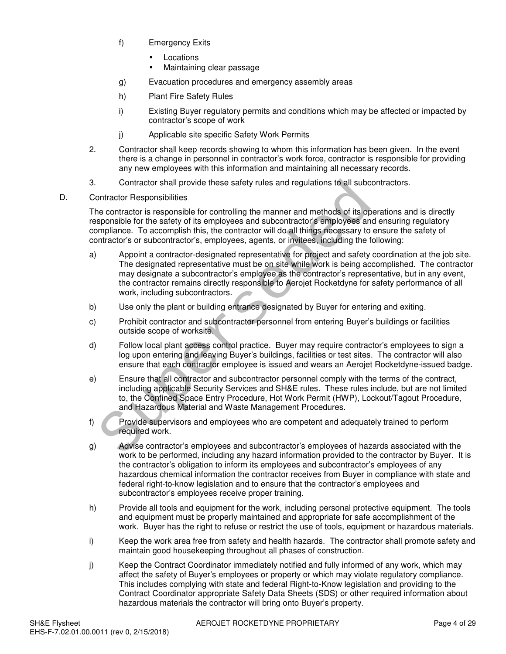- f) Emergency Exits
	- Locations
	- Maintaining clear passage
- g) Evacuation procedures and emergency assembly areas
- h) Plant Fire Safety Rules
- i) Existing Buyer regulatory permits and conditions which may be affected or impacted by contractor's scope of work
- j) Applicable site specific Safety Work Permits
- 2. Contractor shall keep records showing to whom this information has been given. In the event there is a change in personnel in contractor's work force, contractor is responsible for providing any new employees with this information and maintaining all necessary records.
- 3. Contractor shall provide these safety rules and regulations to all subcontractors.
- D. Contractor Responsibilities

The contractor is responsible for controlling the manner and methods of its operations and is directly responsible for the safety of its employees and subcontractor's employees and ensuring regulatory compliance. To accomplish this, the contractor will do all things necessary to ensure the safety of contractor's or subcontractor's, employees, agents, or invitees, including the following:

- a) Appoint a contractor-designated representative for project and safety coordination at the job site. The designated representative must be on site while work is being accomplished. The contractor may designate a subcontractor's employee as the contractor's representative, but in any event, the contractor remains directly responsible to Aerojet Rocketdyne for safety performance of all work, including subcontractors. Contractor shall provide these safety rules and regulations to all subcortactor Responsibilities<br>
contractor is responsible for controlling the manner and methods of its opposible for the safety of its employees and subcon
- b) Use only the plant or building entrance designated by Buyer for entering and exiting.
- c) Prohibit contractor and subcontractor personnel from entering Buyer's buildings or facilities outside scope of worksite.
- d) Follow local plant access control practice. Buyer may require contractor's employees to sign a log upon entering and leaving Buyer's buildings, facilities or test sites. The contractor will also ensure that each contractor employee is issued and wears an Aerojet Rocketdyne-issued badge.
- e) Ensure that all contractor and subcontractor personnel comply with the terms of the contract, including applicable Security Services and SH&E rules. These rules include, but are not limited to, the Confined Space Entry Procedure, Hot Work Permit (HWP), Lockout/Tagout Procedure, and Hazardous Material and Waste Management Procedures.
- f) Provide supervisors and employees who are competent and adequately trained to perform required work.
- g) Advise contractor's employees and subcontractor's employees of hazards associated with the work to be performed, including any hazard information provided to the contractor by Buyer. It is the contractor's obligation to inform its employees and subcontractor's employees of any hazardous chemical information the contractor receives from Buyer in compliance with state and federal right-to-know legislation and to ensure that the contractor's employees and subcontractor's employees receive proper training.
- h) Provide all tools and equipment for the work, including personal protective equipment. The tools and equipment must be properly maintained and appropriate for safe accomplishment of the work. Buyer has the right to refuse or restrict the use of tools, equipment or hazardous materials.
- i) Keep the work area free from safety and health hazards. The contractor shall promote safety and maintain good housekeeping throughout all phases of construction.
- j) Keep the Contract Coordinator immediately notified and fully informed of any work, which may affect the safety of Buyer's employees or property or which may violate regulatory compliance. This includes complying with state and federal Right-to-Know legislation and providing to the Contract Coordinator appropriate Safety Data Sheets (SDS) or other required information about hazardous materials the contractor will bring onto Buyer's property.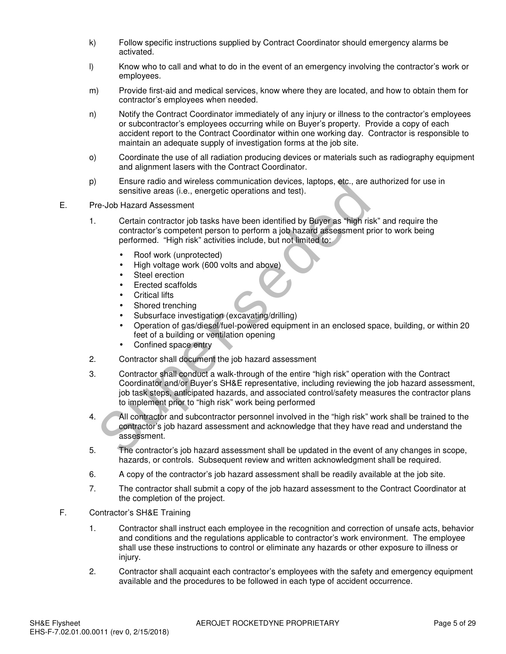- k) Follow specific instructions supplied by Contract Coordinator should emergency alarms be activated.
- l) Know who to call and what to do in the event of an emergency involving the contractor's work or employees.
- m) Provide first-aid and medical services, know where they are located, and how to obtain them for contractor's employees when needed.
- n) Notify the Contract Coordinator immediately of any injury or illness to the contractor's employees or subcontractor's employees occurring while on Buyer's property. Provide a copy of each accident report to the Contract Coordinator within one working day. Contractor is responsible to maintain an adequate supply of investigation forms at the job site.
- o) Coordinate the use of all radiation producing devices or materials such as radiography equipment and alignment lasers with the Contract Coordinator.
- p) Ensure radio and wireless communication devices, laptops, etc., are authorized for use in sensitive areas (i.e., energetic operations and test).
- E. Pre-Job Hazard Assessment
	- 1. Certain contractor job tasks have been identified by Buyer as "high risk" and require the contractor's competent person to perform a job hazard assessment prior to work being performed. "High risk" activities include, but not limited to:
		- Roof work (unprotected)
		- High voltage work (600 volts and above)
		- Steel erection
		- Erected scaffolds
		- Critical lifts
		- Shored trenching
		- Subsurface investigation (excavating/drilling)
		- Operation of gas/diesel/fuel-powered equipment in an enclosed space, building, or within 20 feet of a building or ventilation opening
		- Confined space entry
	- 2. Contractor shall document the job hazard assessment
- 3. Contractor shall conduct a walk-through of the entire "high risk" operation with the Contract Coordinator and/or Buyer's SH&E representative, including reviewing the job hazard assessment, job task steps, anticipated hazards, and associated control/safety measures the contractor plans to implement prior to "high risk" work being performed Ensure radio and wireless communication devices, laptops, etc., are a<br>sensitive areas (i.e., energetic operations and test).<br>-Job Hazard Assessment<br>Certain contractor job tasks have been identified by Buyer as "high rist<br>c
	- 4. All contractor and subcontractor personnel involved in the "high risk" work shall be trained to the contractor's job hazard assessment and acknowledge that they have read and understand the assessment.
	- 5. The contractor's job hazard assessment shall be updated in the event of any changes in scope, hazards, or controls. Subsequent review and written acknowledgment shall be required.
	- 6. A copy of the contractor's job hazard assessment shall be readily available at the job site.
	- 7. The contractor shall submit a copy of the job hazard assessment to the Contract Coordinator at the completion of the project.
- F. Contractor's SH&E Training
	- 1. Contractor shall instruct each employee in the recognition and correction of unsafe acts, behavior and conditions and the regulations applicable to contractor's work environment. The employee shall use these instructions to control or eliminate any hazards or other exposure to illness or injury.
	- 2. Contractor shall acquaint each contractor's employees with the safety and emergency equipment available and the procedures to be followed in each type of accident occurrence.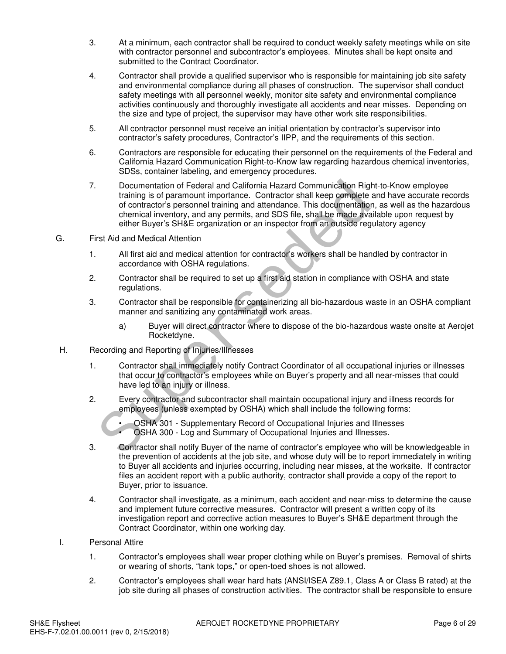- 3. At a minimum, each contractor shall be required to conduct weekly safety meetings while on site with contractor personnel and subcontractor's employees. Minutes shall be kept onsite and submitted to the Contract Coordinator.
- 4. Contractor shall provide a qualified supervisor who is responsible for maintaining job site safety and environmental compliance during all phases of construction. The supervisor shall conduct safety meetings with all personnel weekly, monitor site safety and environmental compliance activities continuously and thoroughly investigate all accidents and near misses. Depending on the size and type of project, the supervisor may have other work site responsibilities.
- 5. All contractor personnel must receive an initial orientation by contractor's supervisor into contractor's safety procedures, Contractor's IIPP, and the requirements of this section.
- 6. Contractors are responsible for educating their personnel on the requirements of the Federal and California Hazard Communication Right-to-Know law regarding hazardous chemical inventories, SDSs, container labeling, and emergency procedures.
- 7. Documentation of Federal and California Hazard Communication Right-to-Know employee training is of paramount importance. Contractor shall keep complete and have accurate records of contractor's personnel training and attendance. This documentation, as well as the hazardous chemical inventory, and any permits, and SDS file, shall be made available upon request by either Buyer's SH&E organization or an inspector from an outside regulatory agency Documentation of Federal and California Hazard Communication Rightaning is of paramount importance. Contractor shall keep complete of entrication<br>of contractor's personnel training and attendance. This documentation<br>chemic
- G. First Aid and Medical Attention
	- 1. All first aid and medical attention for contractor's workers shall be handled by contractor in accordance with OSHA regulations.
	- 2. Contractor shall be required to set up a first aid station in compliance with OSHA and state regulations.
	- 3. Contractor shall be responsible for containerizing all bio-hazardous waste in an OSHA compliant manner and sanitizing any contaminated work areas.
		- a) Buyer will direct contractor where to dispose of the bio-hazardous waste onsite at Aerojet Rocketdyne.
- H. Recording and Reporting of Injuries/Illnesses
	- 1. Contractor shall immediately notify Contract Coordinator of all occupational injuries or illnesses that occur to contractor's employees while on Buyer's property and all near-misses that could have led to an injury or illness.
	- 2. Every contractor and subcontractor shall maintain occupational injury and illness records for employees (unless exempted by OSHA) which shall include the following forms:
		- OSHA 301 Supplementary Record of Occupational Injuries and Illnesses
		- OSHA 300 Log and Summary of Occupational Injuries and Illnesses.
	- 3. Contractor shall notify Buyer of the name of contractor's employee who will be knowledgeable in the prevention of accidents at the job site, and whose duty will be to report immediately in writing to Buyer all accidents and injuries occurring, including near misses, at the worksite. If contractor files an accident report with a public authority, contractor shall provide a copy of the report to Buyer, prior to issuance.
	- 4. Contractor shall investigate, as a minimum, each accident and near-miss to determine the cause and implement future corrective measures. Contractor will present a written copy of its investigation report and corrective action measures to Buyer's SH&E department through the Contract Coordinator, within one working day.
- I. Personal Attire
	- 1. Contractor's employees shall wear proper clothing while on Buyer's premises. Removal of shirts or wearing of shorts, "tank tops," or open-toed shoes is not allowed.
	- 2. Contractor's employees shall wear hard hats (ANSI/ISEA Z89.1, Class A or Class B rated) at the job site during all phases of construction activities. The contractor shall be responsible to ensure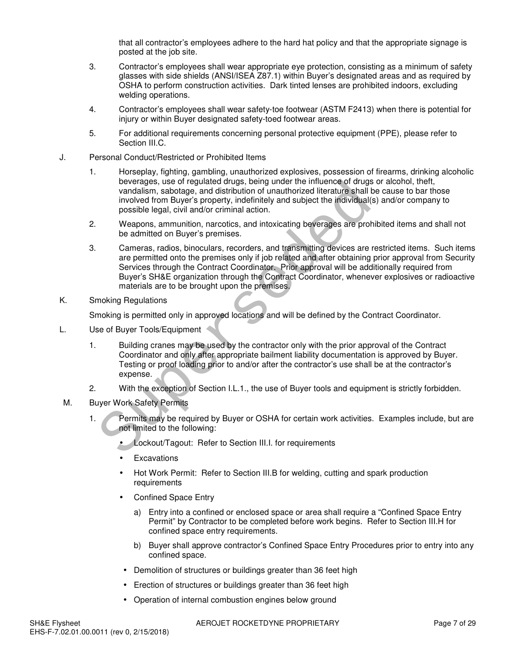that all contractor's employees adhere to the hard hat policy and that the appropriate signage is posted at the job site.

- 3. Contractor's employees shall wear appropriate eye protection, consisting as a minimum of safety glasses with side shields (ANSI/ISEA Z87.1) within Buyer's designated areas and as required by OSHA to perform construction activities. Dark tinted lenses are prohibited indoors, excluding welding operations.
- 4. Contractor's employees shall wear safety-toe footwear (ASTM F2413) when there is potential for injury or within Buyer designated safety-toed footwear areas.
- 5. For additional requirements concerning personal protective equipment (PPE), please refer to Section III.C.
- J. Personal Conduct/Restricted or Prohibited Items
	- 1. Horseplay, fighting, gambling, unauthorized explosives, possession of firearms, drinking alcoholic beverages, use of regulated drugs, being under the influence of drugs or alcohol, theft, vandalism, sabotage, and distribution of unauthorized literature shall be cause to bar those involved from Buyer's property, indefinitely and subject the individual(s) and/or company to possible legal, civil and/or criminal action.
	- 2. Weapons, ammunition, narcotics, and intoxicating beverages are prohibited items and shall not be admitted on Buyer's premises.
	- 3. Cameras, radios, binoculars, recorders, and transmitting devices are restricted items. Such items are permitted onto the premises only if job related and after obtaining prior approval from Security Services through the Contract Coordinator. Prior approval will be additionally required from Buyer's SH&E organization through the Contract Coordinator, whenever explosives or radioactive materials are to be brought upon the premises. beverages, use of regulated crugs, being under the initiance of argustration, abordayis, and distribution of unauthorized literature shall involved from Buyer's property, indefinitely and subject the individual(s possible
- K. Smoking Regulations

Smoking is permitted only in approved locations and will be defined by the Contract Coordinator.

- L. Use of Buyer Tools/Equipment
	- 1. Building cranes may be used by the contractor only with the prior approval of the Contract Coordinator and only after appropriate bailment liability documentation is approved by Buyer. Testing or proof loading prior to and/or after the contractor's use shall be at the contractor's expense.
	- 2. With the exception of Section I.L.1., the use of Buyer tools and equipment is strictly forbidden.
- M. Buyer Work Safety Permits
	- 1. Permits may be required by Buyer or OSHA for certain work activities. Examples include, but are not limited to the following:
		- Lockout/Tagout: Refer to Section III.I. for requirements
		- Excavations
		- Hot Work Permit: Refer to Section III.B for welding, cutting and spark production requirements
		- Confined Space Entry
			- a) Entry into a confined or enclosed space or area shall require a "Confined Space Entry Permit" by Contractor to be completed before work begins. Refer to Section III.H for confined space entry requirements.
			- b) Buyer shall approve contractor's Confined Space Entry Procedures prior to entry into any confined space.
		- Demolition of structures or buildings greater than 36 feet high
		- Erection of structures or buildings greater than 36 feet high
		- Operation of internal combustion engines below ground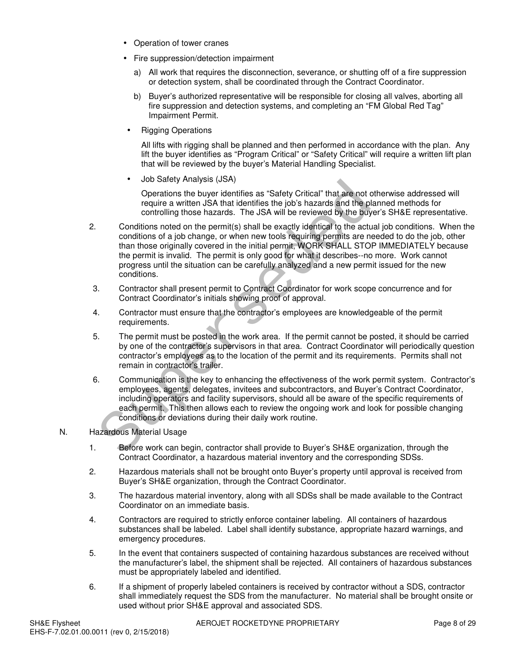- Operation of tower cranes
- Fire suppression/detection impairment
	- a) All work that requires the disconnection, severance, or shutting off of a fire suppression or detection system, shall be coordinated through the Contract Coordinator.
	- b) Buyer's authorized representative will be responsible for closing all valves, aborting all fire suppression and detection systems, and completing an "FM Global Red Tag" Impairment Permit.
	- Rigging Operations

All lifts with rigging shall be planned and then performed in accordance with the plan. Any lift the buyer identifies as "Program Critical" or "Safety Critical" will require a written lift plan that will be reviewed by the buyer's Material Handling Specialist.

• Job Safety Analysis (JSA)

Operations the buyer identifies as "Safety Critical" that are not otherwise addressed will require a written JSA that identifies the job's hazards and the planned methods for controlling those hazards. The JSA will be reviewed by the buyer's SH&E representative.

- 2. Conditions noted on the permit(s) shall be exactly identical to the actual job conditions. When the conditions of a job change, or when new tools requiring permits are needed to do the job, other than those originally covered in the initial permit, WORK SHALL STOP IMMEDIATELY because the permit is invalid. The permit is only good for what it describes--no more. Work cannot progress until the situation can be carefully analyzed and a new permit issued for the new conditions. Franchine they included and the best in the section of the section and the conditions of equire a written JSA that identifies as "Safety Critical" that are not o require a written JSA that identifies the job's hazards and
- 3. Contractor shall present permit to Contract Coordinator for work scope concurrence and for Contract Coordinator's initials showing proof of approval.
- 4. Contractor must ensure that the contractor's employees are knowledgeable of the permit requirements.
- 5. The permit must be posted in the work area. If the permit cannot be posted, it should be carried by one of the contractor's supervisors in that area. Contract Coordinator will periodically question contractor's employees as to the location of the permit and its requirements. Permits shall not remain in contractor's trailer.
- 6. Communication is the key to enhancing the effectiveness of the work permit system. Contractor's employees, agents, delegates, invitees and subcontractors, and Buyer's Contract Coordinator, including operators and facility supervisors, should all be aware of the specific requirements of each permit. This then allows each to review the ongoing work and look for possible changing conditions or deviations during their daily work routine.
- N. Hazardous Material Usage
	- 1. Before work can begin, contractor shall provide to Buyer's SH&E organization, through the Contract Coordinator, a hazardous material inventory and the corresponding SDSs.
	- 2. Hazardous materials shall not be brought onto Buyer's property until approval is received from Buyer's SH&E organization, through the Contract Coordinator.
	- 3. The hazardous material inventory, along with all SDSs shall be made available to the Contract Coordinator on an immediate basis.
	- 4. Contractors are required to strictly enforce container labeling. All containers of hazardous substances shall be labeled. Label shall identify substance, appropriate hazard warnings, and emergency procedures.
	- 5. In the event that containers suspected of containing hazardous substances are received without the manufacturer's label, the shipment shall be rejected. All containers of hazardous substances must be appropriately labeled and identified.
	- 6. If a shipment of properly labeled containers is received by contractor without a SDS, contractor shall immediately request the SDS from the manufacturer. No material shall be brought onsite or used without prior SH&E approval and associated SDS.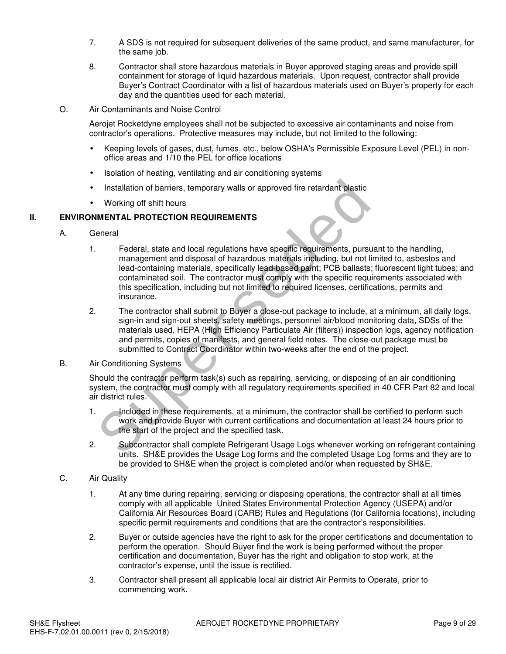- 7. A SDS is not required for subsequent deliveries of the same product, and same manufacturer, for the same job.
- 8. Contractor shall store hazardous materials in Buyer approved staging areas and provide spill containment for storage of liquid hazardous materials. Upon request, contractor shall provide Buyer's Contract Coordinator with a list of hazardous materials used on Buyer's property for each day and the quantities used for each material.
- O. Air Contaminants and Noise Control

Aerojet Rocketdyne employees shall not be subjected to excessive air contaminants and noise from contractor's operations. Protective measures may include, but not limited to the following:

- Keeping levels of gases, dust, fumes, etc., below OSHA's Permissible Exposure Level (PEL) in nonoffice areas and 1/10 the PEL for office locations
- Isolation of heating, ventilating and air conditioning systems
- Installation of barriers, temporary walls or approved fire retardant plastic
- Working off shift hours

### **II. ENVIRONMENTAL PROTECTION REQUIREMENTS**

- A. General
- 1. Federal, state and local regulations have specific requirements, pursuant to the handling, management and disposal of hazardous materials including, but not limited to, asbestos and lead-containing materials, specifically lead-based paint; PCB ballasts; fluorescent light tubes; and contaminated soil. The contractor must comply with the specific requirements associated with this specification, including but not limited to required licenses, certifications, permits and insurance. Installation of barriers, temporary walls or approved fire retardant plastic<br>
Working off shift hours<br>
MENTAL PROTECTION REQUIREMENTS<br>
Federal, state and local regulations have specific requirements, pursus<br>
management and
	- 2. The contractor shall submit to Buyer a close-out package to include, at a minimum, all daily logs, sign-in and sign-out sheets, safety meetings, personnel air/blood monitoring data, SDSs of the materials used, HEPA (High Efficiency Particulate Air (filters)) inspection logs, agency notification and permits, copies of manifests, and general field notes. The close-out package must be submitted to Contract Coordinator within two-weeks after the end of the project.
- B. Air Conditioning Systems

Should the contractor perform task(s) such as repairing, servicing, or disposing of an air conditioning system, the contractor must comply with all regulatory requirements specified in 40 CFR Part 82 and local air district rules.

- 1. Included in these requirements, at a minimum, the contractor shall be certified to perform such work and provide Buyer with current certifications and documentation at least 24 hours prior to the start of the project and the specified task.
- 2. Subcontractor shall complete Refrigerant Usage Logs whenever working on refrigerant containing units. SH&E provides the Usage Log forms and the completed Usage Log forms and they are to be provided to SH&E when the project is completed and/or when requested by SH&E.
- C. Air Quality
	- 1. At any time during repairing, servicing or disposing operations, the contractor shall at all times comply with all applicable United States Environmental Protection Agency (USEPA) and/or California Air Resources Board (CARB) Rules and Regulations (for California locations), including specific permit requirements and conditions that are the contractor's responsibilities.
	- 2. Buyer or outside agencies have the right to ask for the proper certifications and documentation to perform the operation. Should Buyer find the work is being performed without the proper certification and documentation, Buyer has the right and obligation to stop work, at the contractor's expense, until the issue is rectified.
	- 3. Contractor shall present all applicable local air district Air Permits to Operate, prior to commencing work.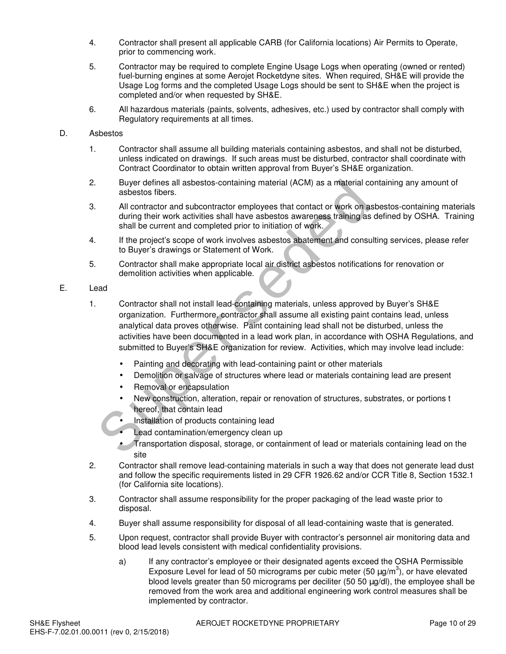- 4. Contractor shall present all applicable CARB (for California locations) Air Permits to Operate, prior to commencing work.
- 5. Contractor may be required to complete Engine Usage Logs when operating (owned or rented) fuel-burning engines at some Aerojet Rocketdyne sites. When required, SH&E will provide the Usage Log forms and the completed Usage Logs should be sent to SH&E when the project is completed and/or when requested by SH&E.
- 6. All hazardous materials (paints, solvents, adhesives, etc.) used by contractor shall comply with Regulatory requirements at all times.

#### D. Asbestos

- 1. Contractor shall assume all building materials containing asbestos, and shall not be disturbed, unless indicated on drawings. If such areas must be disturbed, contractor shall coordinate with Contract Coordinator to obtain written approval from Buyer's SH&E organization.
- 2. Buyer defines all asbestos-containing material (ACM) as a material containing any amount of asbestos fibers.
- 3. All contractor and subcontractor employees that contact or work on asbestos-containing materials during their work activities shall have asbestos awareness training as defined by OSHA. Training shall be current and completed prior to initiation of work.
- 4. If the project's scope of work involves asbestos abatement and consulting services, please refer to Buyer's drawings or Statement of Work.
- 5. Contractor shall make appropriate local air district asbestos notifications for renovation or demolition activities when applicable.

### E. Lead

- 1. Contractor shall not install lead-containing materials, unless approved by Buyer's SH&E organization. Furthermore, contractor shall assume all existing paint contains lead, unless analytical data proves otherwise. Paint containing lead shall not be disturbed, unless the activities have been documented in a lead work plan, in accordance with OSHA Regulations, and submitted to Buyer's SH&E organization for review. Activities, which may involve lead include: Buyer defines all asbestos-containing material (ACM) as a material complements all asbestos fibers.<br>
All contractor and subcontractor employees that contact or work on as<br>
during their work activities shall have asbestos a
	- Painting and decorating with lead-containing paint or other materials
	- Demolition or salvage of structures where lead or materials containing lead are present
	- Removal or encapsulation
	- New construction, alteration, repair or renovation of structures, substrates, or portions t hereof, that contain lead
	- Installation of products containing lead
	- Lead contamination/emergency clean up
	- Transportation disposal, storage, or containment of lead or materials containing lead on the site
- 2. Contractor shall remove lead-containing materials in such a way that does not generate lead dust and follow the specific requirements listed in 29 CFR 1926.62 and/or CCR Title 8, Section 1532.1 (for California site locations).
- 3. Contractor shall assume responsibility for the proper packaging of the lead waste prior to disposal.
- 4. Buyer shall assume responsibility for disposal of all lead-containing waste that is generated.
- 5. Upon request, contractor shall provide Buyer with contractor's personnel air monitoring data and blood lead levels consistent with medical confidentiality provisions.
	- a) If any contractor's employee or their designated agents exceed the OSHA Permissible Exposure Level for lead of 50 micrograms per cubic meter (50  $\mu$ g/m<sup>3</sup>), or have elevated blood levels greater than 50 micrograms per deciliter (50 50  $\mu$ g/dl), the employee shall be removed from the work area and additional engineering work control measures shall be implemented by contractor.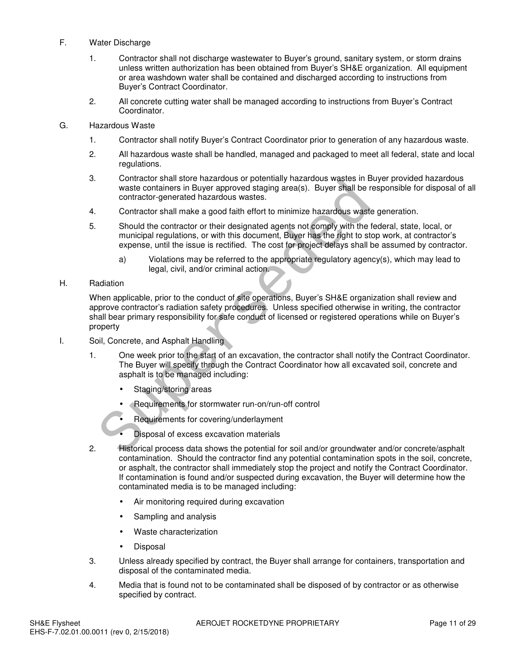#### F. Water Discharge

- 1. Contractor shall not discharge wastewater to Buyer's ground, sanitary system, or storm drains unless written authorization has been obtained from Buyer's SH&E organization. All equipment or area washdown water shall be contained and discharged according to instructions from Buyer's Contract Coordinator.
- 2. All concrete cutting water shall be managed according to instructions from Buyer's Contract Coordinator.
- G. Hazardous Waste
	- 1. Contractor shall notify Buyer's Contract Coordinator prior to generation of any hazardous waste.
	- 2. All hazardous waste shall be handled, managed and packaged to meet all federal, state and local regulations.
	- 3. Contractor shall store hazardous or potentially hazardous wastes in Buyer provided hazardous waste containers in Buyer approved staging area(s). Buyer shall be responsible for disposal of all contractor-generated hazardous wastes.
	- 4. Contractor shall make a good faith effort to minimize hazardous waste generation.
	- 5. Should the contractor or their designated agents not comply with the federal, state, local, or municipal regulations, or with this document, Buyer has the right to stop work, at contractor's expense, until the issue is rectified. The cost for project delays shall be assumed by contractor.
		- a) Violations may be referred to the appropriate regulatory agency(s), which may lead to legal, civil, and/or criminal action.
- H. Radiation

When applicable, prior to the conduct of site operations, Buyer's SH&E organization shall review and approve contractor's radiation safety procedures. Unless specified otherwise in writing, the contractor shall bear primary responsibility for safe conduct of licensed or registered operations while on Buyer's property Super and substrated the contraction of the Contraction of the Contractor shall make a good faith effort to minimize hazardous wastes.<br>
Contractor shall make a good faith effort to minimize hazardous wastes.<br>
Contractor sh

- I. Soil, Concrete, and Asphalt Handling
	- 1. One week prior to the start of an excavation, the contractor shall notify the Contract Coordinator. The Buyer will specify through the Contract Coordinator how all excavated soil, concrete and asphalt is to be managed including:
		- Staging/storing areas
		- Requirements for stormwater run-on/run-off control
		- Requirements for covering/underlayment
		- Disposal of excess excavation materials
	- 2. Historical process data shows the potential for soil and/or groundwater and/or concrete/asphalt contamination. Should the contractor find any potential contamination spots in the soil, concrete, or asphalt, the contractor shall immediately stop the project and notify the Contract Coordinator. If contamination is found and/or suspected during excavation, the Buyer will determine how the contaminated media is to be managed including:
		- Air monitoring required during excavation
		- Sampling and analysis
		- Waste characterization
		- Disposal
	- 3. Unless already specified by contract, the Buyer shall arrange for containers, transportation and disposal of the contaminated media.
	- 4. Media that is found not to be contaminated shall be disposed of by contractor or as otherwise specified by contract.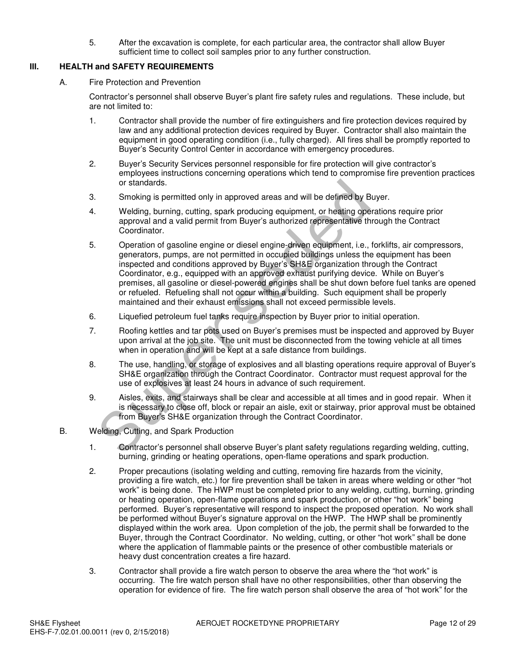5. After the excavation is complete, for each particular area, the contractor shall allow Buyer sufficient time to collect soil samples prior to any further construction.

## **III. HEALTH and SAFETY REQUIREMENTS**

A. Fire Protection and Prevention

Contractor's personnel shall observe Buyer's plant fire safety rules and regulations. These include, but are not limited to:

- 1. Contractor shall provide the number of fire extinguishers and fire protection devices required by law and any additional protection devices required by Buyer. Contractor shall also maintain the equipment in good operating condition (i.e., fully charged). All fires shall be promptly reported to Buyer's Security Control Center in accordance with emergency procedures.
- 2. Buyer's Security Services personnel responsible for fire protection will give contractor's employees instructions concerning operations which tend to compromise fire prevention practices or standards.
- 3. Smoking is permitted only in approved areas and will be defined by Buyer.
- 4. Welding, burning, cutting, spark producing equipment, or heating operations require prior approval and a valid permit from Buyer's authorized representative through the Contract Coordinator.
- 5. Operation of gasoline engine or diesel engine-driven equipment, i.e., forklifts, air compressors, generators, pumps, are not permitted in occupied buildings unless the equipment has been inspected and conditions approved by Buyer's SH&E organization through the Contract Coordinator, e.g., equipped with an approved exhaust purifying device. While on Buyer's premises, all gasoline or diesel-powered engines shall be shut down before fuel tanks are opened or refueled. Refueling shall not occur within a building. Such equipment shall be properly maintained and their exhaust emissions shall not exceed permissible levels. or standards.<br>
Smoking is permitted only in approved areas and will be defined by BM<br>
editing, burning, cutting, spark producing equipment, or heating oper<br>
approval and a valid permit from Buyer's authorized representativ
- 6. Liquefied petroleum fuel tanks require inspection by Buyer prior to initial operation.
- 7. Roofing kettles and tar pots used on Buyer's premises must be inspected and approved by Buyer upon arrival at the job site. The unit must be disconnected from the towing vehicle at all times when in operation and will be kept at a safe distance from buildings.
- 8. The use, handling, or storage of explosives and all blasting operations require approval of Buyer's SH&E organization through the Contract Coordinator. Contractor must request approval for the use of explosives at least 24 hours in advance of such requirement.
- 9. Aisles, exits, and stairways shall be clear and accessible at all times and in good repair. When it is necessary to close off, block or repair an aisle, exit or stairway, prior approval must be obtained from Buyer's SH&E organization through the Contract Coordinator.
- B. Welding, Cutting, and Spark Production
	- 1. Contractor's personnel shall observe Buyer's plant safety regulations regarding welding, cutting, burning, grinding or heating operations, open-flame operations and spark production.
	- 2. Proper precautions (isolating welding and cutting, removing fire hazards from the vicinity, providing a fire watch, etc.) for fire prevention shall be taken in areas where welding or other "hot work" is being done. The HWP must be completed prior to any welding, cutting, burning, grinding or heating operation, open-flame operations and spark production, or other "hot work" being performed. Buyer's representative will respond to inspect the proposed operation. No work shall be performed without Buyer's signature approval on the HWP. The HWP shall be prominently displayed within the work area. Upon completion of the job, the permit shall be forwarded to the Buyer, through the Contract Coordinator. No welding, cutting, or other "hot work" shall be done where the application of flammable paints or the presence of other combustible materials or heavy dust concentration creates a fire hazard.
	- 3. Contractor shall provide a fire watch person to observe the area where the "hot work" is occurring. The fire watch person shall have no other responsibilities, other than observing the operation for evidence of fire. The fire watch person shall observe the area of "hot work" for the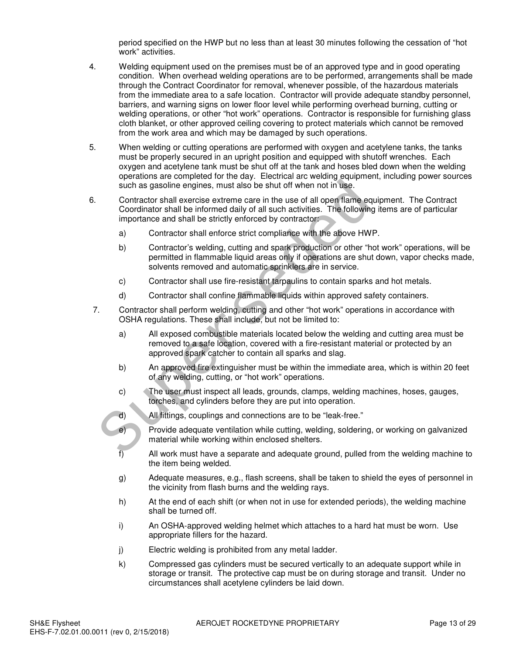period specified on the HWP but no less than at least 30 minutes following the cessation of "hot work" activities.

- 4. Welding equipment used on the premises must be of an approved type and in good operating condition. When overhead welding operations are to be performed, arrangements shall be made through the Contract Coordinator for removal, whenever possible, of the hazardous materials from the immediate area to a safe location. Contractor will provide adequate standby personnel, barriers, and warning signs on lower floor level while performing overhead burning, cutting or welding operations, or other "hot work" operations. Contractor is responsible for furnishing glass cloth blanket, or other approved ceiling covering to protect materials which cannot be removed from the work area and which may be damaged by such operations.
- 5. When welding or cutting operations are performed with oxygen and acetylene tanks, the tanks must be properly secured in an upright position and equipped with shutoff wrenches. Each oxygen and acetylene tank must be shut off at the tank and hoses bled down when the welding operations are completed for the day. Electrical arc welding equipment, including power sources such as gasoline engines, must also be shut off when not in use.
- 6. Contractor shall exercise extreme care in the use of all open flame equipment. The Contract Coordinator shall be informed daily of all such activities. The following items are of particular importance and shall be strictly enforced by contractor: such as gasoline engines, must also be shut off when not in use.<br>
Contractor shall exercise extreme care in the use of all open flame equodinator shall be informed daily of all such activities. The following<br>
importance an
	- a) Contractor shall enforce strict compliance with the above HWP.
	- b) Contractor's welding, cutting and spark production or other "hot work" operations, will be permitted in flammable liquid areas only if operations are shut down, vapor checks made, solvents removed and automatic sprinklers are in service.
	- c) Contractor shall use fire-resistant tarpaulins to contain sparks and hot metals.
	- d) Contractor shall confine flammable liquids within approved safety containers.
- 7. Contractor shall perform welding, cutting and other "hot work" operations in accordance with OSHA regulations. These shall include, but not be limited to:
	- a) All exposed combustible materials located below the welding and cutting area must be removed to a safe location, covered with a fire-resistant material or protected by an approved spark catcher to contain all sparks and slag.
	- b) An approved fire extinguisher must be within the immediate area, which is within 20 feet of any welding, cutting, or "hot work" operations.
	- c) The user must inspect all leads, grounds, clamps, welding machines, hoses, gauges, torches, and cylinders before they are put into operation.
	- d) All fittings, couplings and connections are to be "leak-free."
	- e) Provide adequate ventilation while cutting, welding, soldering, or working on galvanized material while working within enclosed shelters.
	- f) All work must have a separate and adequate ground, pulled from the welding machine to the item being welded.
	- g) Adequate measures, e.g., flash screens, shall be taken to shield the eyes of personnel in the vicinity from flash burns and the welding rays.
	- h) At the end of each shift (or when not in use for extended periods), the welding machine shall be turned off.
	- i) An OSHA-approved welding helmet which attaches to a hard hat must be worn. Use appropriate fillers for the hazard.
	- j) Electric welding is prohibited from any metal ladder.
	- k) Compressed gas cylinders must be secured vertically to an adequate support while in storage or transit. The protective cap must be on during storage and transit. Under no circumstances shall acetylene cylinders be laid down.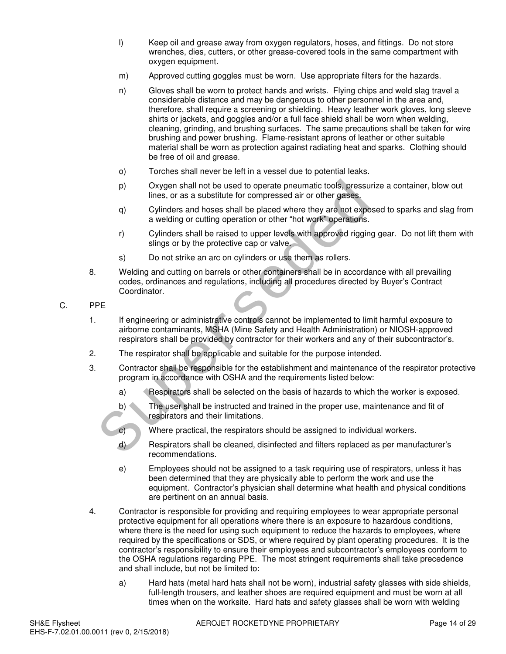- l) Keep oil and grease away from oxygen regulators, hoses, and fittings. Do not store wrenches, dies, cutters, or other grease-covered tools in the same compartment with oxygen equipment.
- m) Approved cutting goggles must be worn. Use appropriate filters for the hazards.
- n) Gloves shall be worn to protect hands and wrists. Flying chips and weld slag travel a considerable distance and may be dangerous to other personnel in the area and, therefore, shall require a screening or shielding. Heavy leather work gloves, long sleeve shirts or jackets, and goggles and/or a full face shield shall be worn when welding, cleaning, grinding, and brushing surfaces. The same precautions shall be taken for wire brushing and power brushing. Flame-resistant aprons of leather or other suitable material shall be worn as protection against radiating heat and sparks. Clothing should be free of oil and grease.
- o) Torches shall never be left in a vessel due to potential leaks.
- p) Oxygen shall not be used to operate pneumatic tools, pressurize a container, blow out lines, or as a substitute for compressed air or other gases.
- q) Cylinders and hoses shall be placed where they are not exposed to sparks and slag from a welding or cutting operation or other "hot work" operations.
- r) Cylinders shall be raised to upper levels with approved rigging gear. Do not lift them with slings or by the protective cap or valve.
- s) Do not strike an arc on cylinders or use them as rollers.
- 8. Welding and cutting on barrels or other containers shall be in accordance with all prevailing codes, ordinances and regulations, including all procedures directed by Buyer's Contract Coordinator.
- C. PPE
- 1. If engineering or administrative controls cannot be implemented to limit harmful exposure to airborne contaminants, MSHA (Mine Safety and Health Administration) or NIOSH-approved respirators shall be provided by contractor for their workers and any of their subcontractor's. by<br>
20 your shall not be used to operate pneumatic tools, pressure<br>
lines, or as a substitute for compressed air or other gases.<br>
9 Cylinders and hoses shall be placed where they are not expose a welding or cutting operati
	- 2. The respirator shall be applicable and suitable for the purpose intended.
	- 3. Contractor shall be responsible for the establishment and maintenance of the respirator protective program in accordance with OSHA and the requirements listed below:
		- a) Respirators shall be selected on the basis of hazards to which the worker is exposed.
		- b) The user shall be instructed and trained in the proper use, maintenance and fit of respirators and their limitations.
		- c) Where practical, the respirators should be assigned to individual workers.
		- d) Respirators shall be cleaned, disinfected and filters replaced as per manufacturer's recommendations.
		- e) Employees should not be assigned to a task requiring use of respirators, unless it has been determined that they are physically able to perform the work and use the equipment. Contractor's physician shall determine what health and physical conditions are pertinent on an annual basis.
	- 4. Contractor is responsible for providing and requiring employees to wear appropriate personal protective equipment for all operations where there is an exposure to hazardous conditions, where there is the need for using such equipment to reduce the hazards to employees, where required by the specifications or SDS, or where required by plant operating procedures. It is the contractor's responsibility to ensure their employees and subcontractor's employees conform to the OSHA regulations regarding PPE. The most stringent requirements shall take precedence and shall include, but not be limited to:
		- a) Hard hats (metal hard hats shall not be worn), industrial safety glasses with side shields, full-length trousers, and leather shoes are required equipment and must be worn at all times when on the worksite. Hard hats and safety glasses shall be worn with welding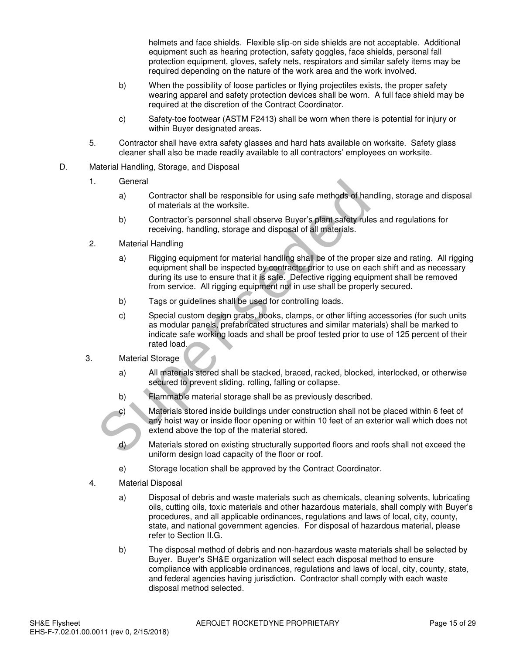helmets and face shields. Flexible slip-on side shields are not acceptable. Additional equipment such as hearing protection, safety goggles, face shields, personal fall protection equipment, gloves, safety nets, respirators and similar safety items may be required depending on the nature of the work area and the work involved.

- b) When the possibility of loose particles or flying projectiles exists, the proper safety wearing apparel and safety protection devices shall be worn. A full face shield may be required at the discretion of the Contract Coordinator.
- c) Safety-toe footwear (ASTM F2413) shall be worn when there is potential for injury or within Buyer designated areas.
- 5. Contractor shall have extra safety glasses and hard hats available on worksite. Safety glass cleaner shall also be made readily available to all contractors' employees on worksite.
- D. Material Handling, Storage, and Disposal
	- 1. General
		- a) Contractor shall be responsible for using safe methods of handling, storage and disposal of materials at the worksite.
		- b) Contractor's personnel shall observe Buyer's plant safety rules and regulations for receiving, handling, storage and disposal of all materials.
	- 2. Material Handling
		- a) Rigging equipment for material handling shall be of the proper size and rating. All rigging equipment shall be inspected by contractor prior to use on each shift and as necessary during its use to ensure that it is safe. Defective rigging equipment shall be removed from service. All rigging equipment not in use shall be properly secured.
		- b) Tags or guidelines shall be used for controlling loads.
- c) Special custom design grabs, hooks, clamps, or other lifting accessories (for such units as modular panels, prefabricated structures and similar materials) shall be marked to indicate safe working loads and shall be proof tested prior to use of 125 percent of their rated load. General<br>
a) Contractor shall be responsible for using safe methods of han<br>
of materials at the worksite.<br>
b) Contractor's personnel shall observe Buyer's plant safety rules<br>
receiving, handling, storage and disposal of all
	- 3. Material Storage
		- a) All materials stored shall be stacked, braced, racked, blocked, interlocked, or otherwise secured to prevent sliding, rolling, falling or collapse.
		- b) Flammable material storage shall be as previously described.
		- c) Materials stored inside buildings under construction shall not be placed within 6 feet of any hoist way or inside floor opening or within 10 feet of an exterior wall which does not extend above the top of the material stored.
		- d) Materials stored on existing structurally supported floors and roofs shall not exceed the uniform design load capacity of the floor or roof.
		- e) Storage location shall be approved by the Contract Coordinator.
	- 4. Material Disposal
		- a) Disposal of debris and waste materials such as chemicals, cleaning solvents, lubricating oils, cutting oils, toxic materials and other hazardous materials, shall comply with Buyer's procedures, and all applicable ordinances, regulations and laws of local, city, county, state, and national government agencies. For disposal of hazardous material, please refer to Section II.G.
		- b) The disposal method of debris and non-hazardous waste materials shall be selected by Buyer. Buyer's SH&E organization will select each disposal method to ensure compliance with applicable ordinances, regulations and laws of local, city, county, state, and federal agencies having jurisdiction. Contractor shall comply with each waste disposal method selected.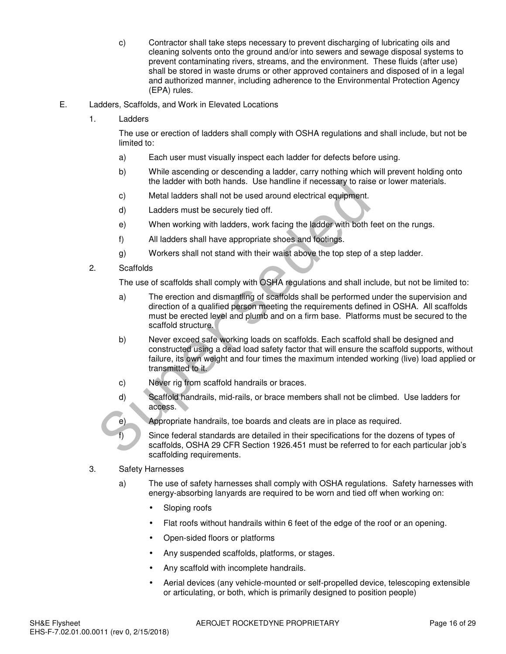- c) Contractor shall take steps necessary to prevent discharging of lubricating oils and cleaning solvents onto the ground and/or into sewers and sewage disposal systems to prevent contaminating rivers, streams, and the environment. These fluids (after use) shall be stored in waste drums or other approved containers and disposed of in a legal and authorized manner, including adherence to the Environmental Protection Agency (EPA) rules.
- E. Ladders, Scaffolds, and Work in Elevated Locations
	- 1. Ladders

The use or erection of ladders shall comply with OSHA regulations and shall include, but not be limited to:

- a) Each user must visually inspect each ladder for defects before using.
- b) While ascending or descending a ladder, carry nothing which will prevent holding onto the ladder with both hands. Use handline if necessary to raise or lower materials.
- c) Metal ladders shall not be used around electrical equipment.
- d) Ladders must be securely tied off.
- e) When working with ladders, work facing the ladder with both feet on the rungs.
- f) All ladders shall have appropriate shoes and footings.
- g) Workers shall not stand with their waist above the top step of a step ladder.
- 2. Scaffolds

The use of scaffolds shall comply with OSHA regulations and shall include, but not be limited to:

- a) The erection and dismantling of scaffolds shall be performed under the supervision and direction of a qualified person meeting the requirements defined in OSHA. All scaffolds must be erected level and plumb and on a firm base. Platforms must be secured to the scaffold structure.
- b) Never exceed safe working loads on scaffolds. Each scaffold shall be designed and constructed using a dead load safety factor that will ensure the scaffold supports, without failure, its own weight and four times the maximum intended working (live) load applied or transmitted to it. the ladder with both nands. Use nandine it necessary to raise<br>
C. Metal ladders shall not be used around electrical equipment.<br>
(a) Ladders must be securely tied off.<br>
(b) When working with ladders, work facing the ladder
	- c) Never rig from scaffold handrails or braces.
	- d) Scaffold handrails, mid-rails, or brace members shall not be climbed. Use ladders for access.
	- e) Appropriate handrails, toe boards and cleats are in place as required.

Since federal standards are detailed in their specifications for the dozens of types of scaffolds, OSHA 29 CFR Section 1926.451 must be referred to for each particular job's scaffolding requirements.

- 3. Safety Harnesses
	- a) The use of safety harnesses shall comply with OSHA regulations. Safety harnesses with energy-absorbing lanyards are required to be worn and tied off when working on:
		- Sloping roofs
		- Flat roofs without handrails within 6 feet of the edge of the roof or an opening.
		- Open-sided floors or platforms
		- Any suspended scaffolds, platforms, or stages.
		- Any scaffold with incomplete handrails.
		- Aerial devices (any vehicle-mounted or self-propelled device, telescoping extensible or articulating, or both, which is primarily designed to position people)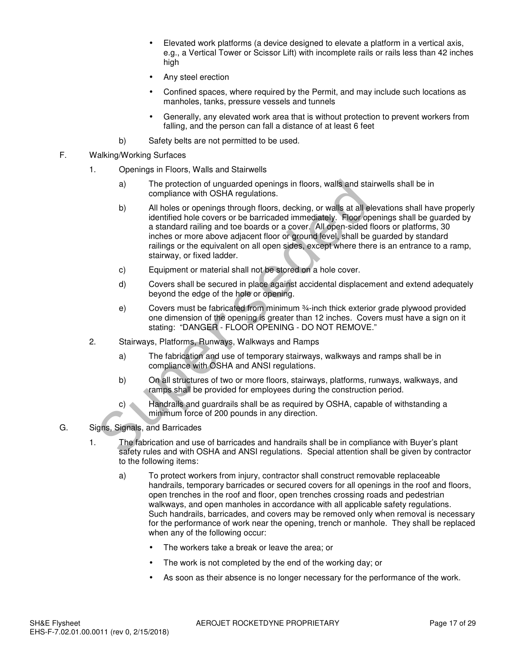- Elevated work platforms (a device designed to elevate a platform in a vertical axis, e.g., a Vertical Tower or Scissor Lift) with incomplete rails or rails less than 42 inches high
- Any steel erection
- Confined spaces, where required by the Permit, and may include such locations as manholes, tanks, pressure vessels and tunnels
- Generally, any elevated work area that is without protection to prevent workers from falling, and the person can fall a distance of at least 6 feet
- b) Safety belts are not permitted to be used.
- F. Walking/Working Surfaces
	- 1. Openings in Floors, Walls and Stairwells
		- a) The protection of unguarded openings in floors, walls and stairwells shall be in compliance with OSHA regulations.
		- b) All holes or openings through floors, decking, or walls at all elevations shall have properly identified hole covers or be barricaded immediately. Floor openings shall be guarded by a standard railing and toe boards or a cover. All open-sided floors or platforms, 30 inches or more above adjacent floor or ground level, shall be guarded by standard railings or the equivalent on all open sides, except where there is an entrance to a ramp, stairway, or fixed ladder. The protection of unguarded openings in floors, walls and stail<br>
		compliance with OSHA regulations.<br>
		All holes or openings through floors, decking, or walls at all eliate interested from the covers or be barricaded immediat
			- c) Equipment or material shall not be stored on a hole cover.
			- d) Covers shall be secured in place against accidental displacement and extend adequately beyond the edge of the hole or opening.
			- e) Covers must be fabricated from minimum ¾-inch thick exterior grade plywood provided one dimension of the opening is greater than 12 inches. Covers must have a sign on it stating: "DANGER - FLOOR OPENING - DO NOT REMOVE."
	- 2. Stairways, Platforms, Runways, Walkways and Ramps
		- a) The fabrication and use of temporary stairways, walkways and ramps shall be in compliance with OSHA and ANSI regulations.
		- b) On all structures of two or more floors, stairways, platforms, runways, walkways, and ramps shall be provided for employees during the construction period.
		- c) Handrails and guardrails shall be as required by OSHA, capable of withstanding a minimum force of 200 pounds in any direction.
- G. Signs, Signals, and Barricades
	- 1. The fabrication and use of barricades and handrails shall be in compliance with Buyer's plant safety rules and with OSHA and ANSI regulations. Special attention shall be given by contractor to the following items:
		- a) To protect workers from injury, contractor shall construct removable replaceable handrails, temporary barricades or secured covers for all openings in the roof and floors, open trenches in the roof and floor, open trenches crossing roads and pedestrian walkways, and open manholes in accordance with all applicable safety regulations. Such handrails, barricades, and covers may be removed only when removal is necessary for the performance of work near the opening, trench or manhole. They shall be replaced when any of the following occur:
			- The workers take a break or leave the area; or
			- The work is not completed by the end of the working day; or
			- As soon as their absence is no longer necessary for the performance of the work.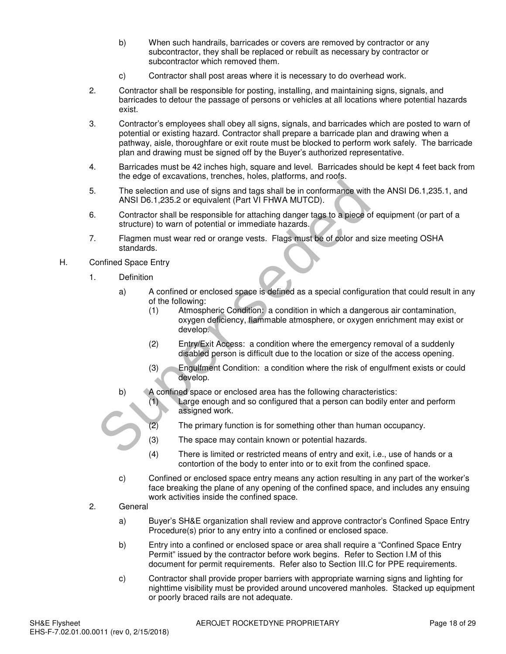- b) When such handrails, barricades or covers are removed by contractor or any subcontractor, they shall be replaced or rebuilt as necessary by contractor or subcontractor which removed them.
- c) Contractor shall post areas where it is necessary to do overhead work.
- 2. Contractor shall be responsible for posting, installing, and maintaining signs, signals, and barricades to detour the passage of persons or vehicles at all locations where potential hazards exist.
- 3. Contractor's employees shall obey all signs, signals, and barricades which are posted to warn of potential or existing hazard. Contractor shall prepare a barricade plan and drawing when a pathway, aisle, thoroughfare or exit route must be blocked to perform work safely. The barricade plan and drawing must be signed off by the Buyer's authorized representative.
- 4. Barricades must be 42 inches high, square and level. Barricades should be kept 4 feet back from the edge of excavations, trenches, holes, platforms, and roofs.
- 5. The selection and use of signs and tags shall be in conformance with the ANSI D6.1,235.1, and ANSI D6.1,235.2 or equivalent (Part VI FHWA MUTCD).
- 6. Contractor shall be responsible for attaching danger tags to a piece of equipment (or part of a structure) to warn of potential or immediate hazards.
- 7. Flagmen must wear red or orange vests. Flags must be of color and size meeting OSHA standards.
- H. Confined Space Entry
	- 1. Definition
		- a) A confined or enclosed space is defined as a special configuration that could result in any of the following:
- (1) Atmospheric Condition: a condition in which a dangerous air contamination, oxygen deficiency, flammable atmosphere, or oxygen enrichment may exist or develop. The selection and use of signs and tags shall be in conformance with<br>
ANSI D6.1,235.2 or equivalent (Part VI FHWA MUTCD).<br>
Contractor shall be responsible for attaching danger tags to a piece of<br>
structure) to warn of pote
	- (2) Entry/Exit Access: a condition where the emergency removal of a suddenly disabled person is difficult due to the location or size of the access opening.
	- (3) Engulfment Condition: a condition where the risk of engulfment exists or could develop.
	- b) A confined space or enclosed area has the following characteristics:
		- (1) Large enough and so configured that a person can bodily enter and perform assigned work.
		- (2) The primary function is for something other than human occupancy.
		- (3) The space may contain known or potential hazards.
		- (4) There is limited or restricted means of entry and exit, i.e., use of hands or a contortion of the body to enter into or to exit from the confined space.
	- c) Confined or enclosed space entry means any action resulting in any part of the worker's face breaking the plane of any opening of the confined space, and includes any ensuing work activities inside the confined space.
	- 2. General
		- a) Buyer's SH&E organization shall review and approve contractor's Confined Space Entry Procedure(s) prior to any entry into a confined or enclosed space.
		- b) Entry into a confined or enclosed space or area shall require a "Confined Space Entry Permit" issued by the contractor before work begins. Refer to Section I.M of this document for permit requirements. Refer also to Section III.C for PPE requirements.
		- c) Contractor shall provide proper barriers with appropriate warning signs and lighting for nighttime visibility must be provided around uncovered manholes. Stacked up equipment or poorly braced rails are not adequate.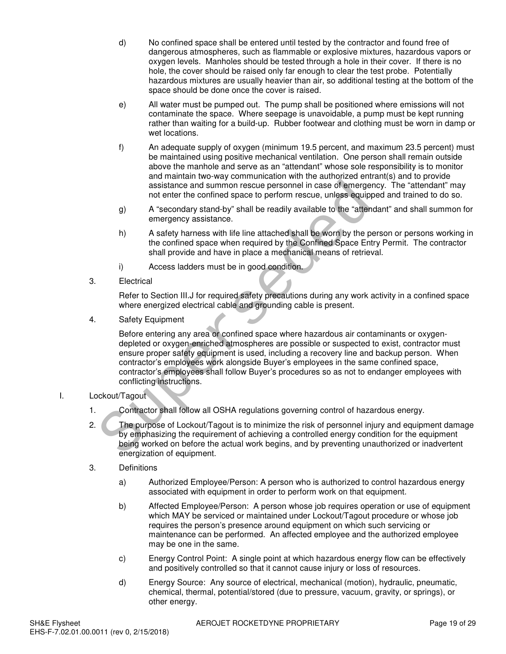- d) No confined space shall be entered until tested by the contractor and found free of dangerous atmospheres, such as flammable or explosive mixtures, hazardous vapors or oxygen levels. Manholes should be tested through a hole in their cover. If there is no hole, the cover should be raised only far enough to clear the test probe. Potentially hazardous mixtures are usually heavier than air, so additional testing at the bottom of the space should be done once the cover is raised.
- e) All water must be pumped out. The pump shall be positioned where emissions will not contaminate the space. Where seepage is unavoidable, a pump must be kept running rather than waiting for a build-up. Rubber footwear and clothing must be worn in damp or wet locations.
- f) An adequate supply of oxygen (minimum 19.5 percent, and maximum 23.5 percent) must be maintained using positive mechanical ventilation. One person shall remain outside above the manhole and serve as an "attendant" whose sole responsibility is to monitor and maintain two-way communication with the authorized entrant(s) and to provide assistance and summon rescue personnel in case of emergency. The "attendant" may not enter the confined space to perform rescue, unless equipped and trained to do so.
- g) A "secondary stand-by" shall be readily available to the "attendant" and shall summon for emergency assistance.
- h) A safety harness with life line attached shall be worn by the person or persons working in the confined space when required by the Confined Space Entry Permit. The contractor shall provide and have in place a mechanical means of retrieval.
- i) Access ladders must be in good condition.
- 3. Electrical

Refer to Section III.J for required safety precautions during any work activity in a confined space where energized electrical cable and grounding cable is present.

4. Safety Equipment

Before entering any area or confined space where hazardous air contaminants or oxygendepleted or oxygen-enriched atmospheres are possible or suspected to exist, contractor must ensure proper safety equipment is used, including a recovery line and backup person. When contractor's employees work alongside Buyer's employees in the same confined space, contractor's employees shall follow Buyer's procedures so as not to endanger employees with conflicting instructions. assistance and summon rescue personnel in case of emerger<br>
not enter the confined space to perform rescue, unless equipp<br>
9) A "seconday stand-by" shall be readily available to the "attent<br>
emergency assistance.<br>
h) A safe

- I. Lockout/Tagout
	- 1. Contractor shall follow all OSHA regulations governing control of hazardous energy.
	- 2. The purpose of Lockout/Tagout is to minimize the risk of personnel injury and equipment damage by emphasizing the requirement of achieving a controlled energy condition for the equipment being worked on before the actual work begins, and by preventing unauthorized or inadvertent energization of equipment.
	- 3. Definitions
		- a) Authorized Employee/Person: A person who is authorized to control hazardous energy associated with equipment in order to perform work on that equipment.
		- b) Affected Employee/Person: A person whose job requires operation or use of equipment which MAY be serviced or maintained under Lockout/Tagout procedure or whose job requires the person's presence around equipment on which such servicing or maintenance can be performed. An affected employee and the authorized employee may be one in the same.
		- c) Energy Control Point: A single point at which hazardous energy flow can be effectively and positively controlled so that it cannot cause injury or loss of resources.
		- d) Energy Source: Any source of electrical, mechanical (motion), hydraulic, pneumatic, chemical, thermal, potential/stored (due to pressure, vacuum, gravity, or springs), or other energy.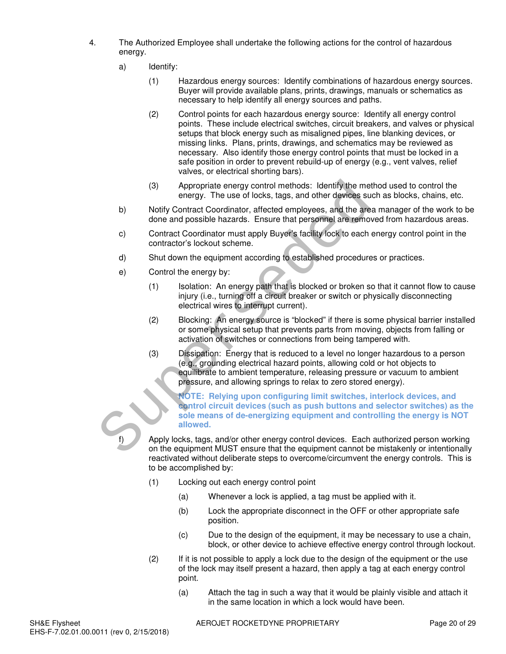- 4. The Authorized Employee shall undertake the following actions for the control of hazardous energy.
	- a) Identify:
		- (1) Hazardous energy sources: Identify combinations of hazardous energy sources. Buyer will provide available plans, prints, drawings, manuals or schematics as necessary to help identify all energy sources and paths.
		- (2) Control points for each hazardous energy source: Identify all energy control points. These include electrical switches, circuit breakers, and valves or physical setups that block energy such as misaligned pipes, line blanking devices, or missing links. Plans, prints, drawings, and schematics may be reviewed as necessary. Also identify those energy control points that must be locked in a safe position in order to prevent rebuild-up of energy (e.g., vent valves, relief valves, or electrical shorting bars).
		- (3) Appropriate energy control methods: Identify the method used to control the energy. The use of locks, tags, and other devices such as blocks, chains, etc.
	- b) Notify Contract Coordinator, affected employees, and the area manager of the work to be done and possible hazards. Ensure that personnel are removed from hazardous areas.
	- c) Contract Coordinator must apply Buyer's facility lock to each energy control point in the contractor's lockout scheme.
	- d) Shut down the equipment according to established procedures or practices.
	- e) Control the energy by:
		- (1) Isolation: An energy path that is blocked or broken so that it cannot flow to cause injury (i.e., turning off a circuit breaker or switch or physically disconnecting electrical wires to interrupt current).
		- (2) Blocking: An energy source is "blocked" if there is some physical barrier installed or some physical setup that prevents parts from moving, objects from falling or activation of switches or connections from being tampered with.
	- (3) Dissipation: Energy that is reduced to a level no longer hazardous to a person (e.g., grounding electrical hazard points, allowing cold or hot objects to equilibrate to ambient temperature, releasing pressure or vacuum to ambient pressure, and allowing springs to relax to zero stored energy). (3) Appropriate energy control methods: Identify the methods<br>
	by Southy Contract Coordinator, affected employees, and the area of lock to each<br>
	by Contract Coordinator and the angular energy<br>
	c) Contract Coordinator must

**NOTE: Relying upon configuring limit switches, interlock devices, and control circuit devices (such as push buttons and selector switches) as the sole means of de-energizing equipment and controlling the energy is NOT allowed.** 

Apply locks, tags, and/or other energy control devices. Each authorized person working on the equipment MUST ensure that the equipment cannot be mistakenly or intentionally reactivated without deliberate steps to overcome/circumvent the energy controls. This is to be accomplished by:

- (1) Locking out each energy control point
	- (a) Whenever a lock is applied, a tag must be applied with it.
	- (b) Lock the appropriate disconnect in the OFF or other appropriate safe position.
	- (c) Due to the design of the equipment, it may be necessary to use a chain, block, or other device to achieve effective energy control through lockout.
- (2) If it is not possible to apply a lock due to the design of the equipment or the use of the lock may itself present a hazard, then apply a tag at each energy control point.
	- (a) Attach the tag in such a way that it would be plainly visible and attach it in the same location in which a lock would have been.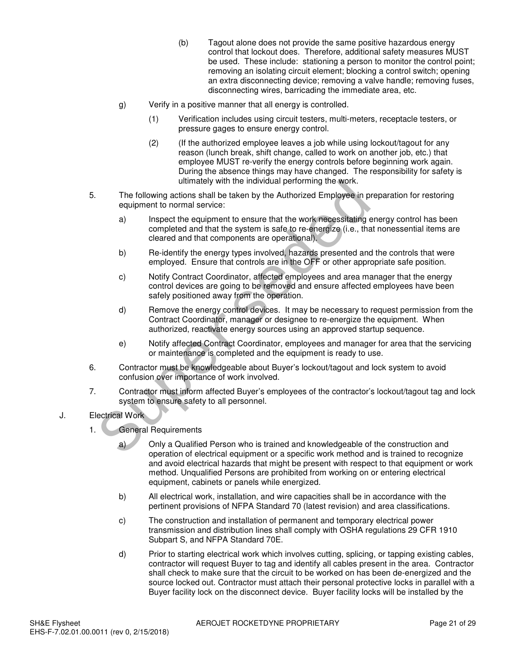- (b) Tagout alone does not provide the same positive hazardous energy control that lockout does. Therefore, additional safety measures MUST be used. These include: stationing a person to monitor the control point; removing an isolating circuit element; blocking a control switch; opening an extra disconnecting device; removing a valve handle; removing fuses, disconnecting wires, barricading the immediate area, etc.
- g) Verify in a positive manner that all energy is controlled.
	- (1) Verification includes using circuit testers, multi-meters, receptacle testers, or pressure gages to ensure energy control.
	- (2) (If the authorized employee leaves a job while using lockout/tagout for any reason (lunch break, shift change, called to work on another job, etc.) that employee MUST re-verify the energy controls before beginning work again. During the absence things may have changed. The responsibility for safety is ultimately with the individual performing the work.
- 5. The following actions shall be taken by the Authorized Employee in preparation for restoring equipment to normal service:
	- a) Inspect the equipment to ensure that the work necessitating energy control has been completed and that the system is safe to re-energize (i.e., that nonessential items are cleared and that components are operational).
	- b) Re-identify the energy types involved, hazards presented and the controls that were employed. Ensure that controls are in the OFF or other appropriate safe position.
- c) Notify Contract Coordinator, affected employees and area manager that the energy control devices are going to be removed and ensure affected employees have been safely positioned away from the operation. Unimately with the individual performing the work.<br>
The following actions shall be taken by the Authorized Employee in proprient to normal service:<br>
a) Inspect the equipment to ensure that the work necessitating e<br>
complet
	- d) Remove the energy control devices. It may be necessary to request permission from the Contract Coordinator, manager or designee to re-energize the equipment. When authorized, reactivate energy sources using an approved startup sequence.
	- e) Notify affected Contract Coordinator, employees and manager for area that the servicing or maintenance is completed and the equipment is ready to use.
- 6. Contractor must be knowledgeable about Buyer's lockout/tagout and lock system to avoid confusion over importance of work involved.
- 7. Contractor must inform affected Buyer's employees of the contractor's lockout/tagout tag and lock system to ensure safety to all personnel.

# J. Electrical Work

1. General Requirements

a) Only a Qualified Person who is trained and knowledgeable of the construction and operation of electrical equipment or a specific work method and is trained to recognize and avoid electrical hazards that might be present with respect to that equipment or work method. Unqualified Persons are prohibited from working on or entering electrical equipment, cabinets or panels while energized.

- b) All electrical work, installation, and wire capacities shall be in accordance with the pertinent provisions of NFPA Standard 70 (latest revision) and area classifications.
- c) The construction and installation of permanent and temporary electrical power transmission and distribution lines shall comply with OSHA regulations 29 CFR 1910 Subpart S, and NFPA Standard 70E.
- d) Prior to starting electrical work which involves cutting, splicing, or tapping existing cables, contractor will request Buyer to tag and identify all cables present in the area. Contractor shall check to make sure that the circuit to be worked on has been de-energized and the source locked out. Contractor must attach their personal protective locks in parallel with a Buyer facility lock on the disconnect device. Buyer facility locks will be installed by the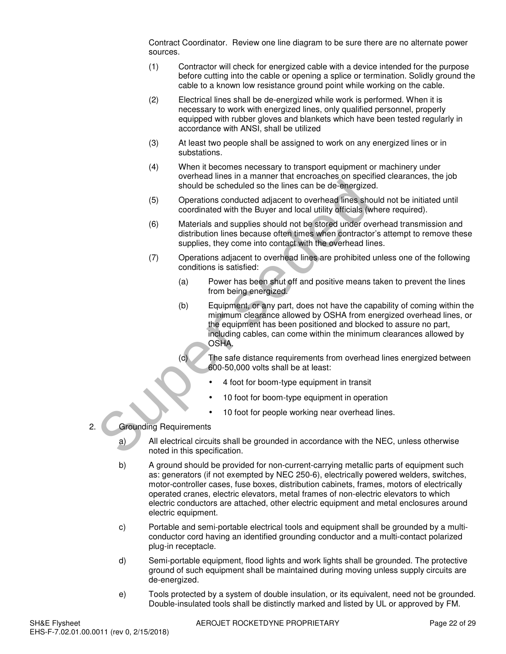Contract Coordinator. Review one line diagram to be sure there are no alternate power sources.

- (1) Contractor will check for energized cable with a device intended for the purpose before cutting into the cable or opening a splice or termination. Solidly ground the cable to a known low resistance ground point while working on the cable.
- (2) Electrical lines shall be de-energized while work is performed. When it is necessary to work with energized lines, only qualified personnel, properly equipped with rubber gloves and blankets which have been tested regularly in accordance with ANSI, shall be utilized
- (3) At least two people shall be assigned to work on any energized lines or in substations.
- (4) When it becomes necessary to transport equipment or machinery under overhead lines in a manner that encroaches on specified clearances, the job should be scheduled so the lines can be de-energized.
- (5) Operations conducted adjacent to overhead lines should not be initiated until coordinated with the Buyer and local utility officials (where required).
- (6) Materials and supplies should not be stored under overhead transmission and distribution lines because often times when contractor's attempt to remove these supplies, they come into contact with the overhead lines.
- (7) Operations adjacent to overhead lines are prohibited unless one of the following conditions is satisfied:
	- (a) Power has been shut off and positive means taken to prevent the lines from being energized.
- (b) Equipment, or any part, does not have the capability of coming within the minimum clearance allowed by OSHA from energized overhead lines, or the equipment has been positioned and blocked to assure no part, including cables, can come within the minimum clearances allowed by OSHA. should be scheduled so the lines can be de-energized<br>
(5) Operations conducted adjacent to overhead lines sho<br>
coordinated with the Buyer and local utility dificials (with<br>
Materials and supplies should not be stored under
	- (c) The safe distance requirements from overhead lines energized between 600-50,000 volts shall be at least:
		- 4 foot for boom-type equipment in transit
		- 10 foot for boom-type equipment in operation
		- 10 foot for people working near overhead lines.
- 2. Grounding Requirements
	- a) All electrical circuits shall be grounded in accordance with the NEC, unless otherwise noted in this specification.
	- b) A ground should be provided for non-current-carrying metallic parts of equipment such as: generators (if not exempted by NEC 250-6), electrically powered welders, switches, motor-controller cases, fuse boxes, distribution cabinets, frames, motors of electrically operated cranes, electric elevators, metal frames of non-electric elevators to which electric conductors are attached, other electric equipment and metal enclosures around electric equipment.
	- c) Portable and semi-portable electrical tools and equipment shall be grounded by a multiconductor cord having an identified grounding conductor and a multi-contact polarized plug-in receptacle.
	- d) Semi-portable equipment, flood lights and work lights shall be grounded. The protective ground of such equipment shall be maintained during moving unless supply circuits are de-energized.
	- e) Tools protected by a system of double insulation, or its equivalent, need not be grounded. Double-insulated tools shall be distinctly marked and listed by UL or approved by FM.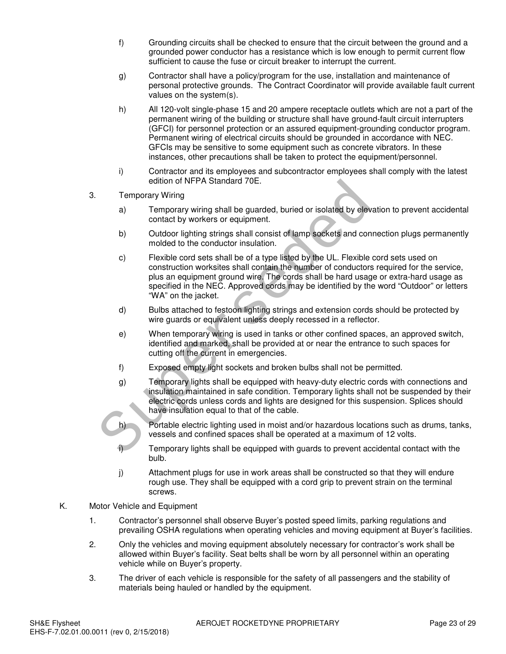- f) Grounding circuits shall be checked to ensure that the circuit between the ground and a grounded power conductor has a resistance which is low enough to permit current flow sufficient to cause the fuse or circuit breaker to interrupt the current.
- g) Contractor shall have a policy/program for the use, installation and maintenance of personal protective grounds. The Contract Coordinator will provide available fault current values on the system(s).
- h) All 120-volt single-phase 15 and 20 ampere receptacle outlets which are not a part of the permanent wiring of the building or structure shall have ground-fault circuit interrupters (GFCI) for personnel protection or an assured equipment-grounding conductor program. Permanent wiring of electrical circuits should be grounded in accordance with NEC. GFCIs may be sensitive to some equipment such as concrete vibrators. In these instances, other precautions shall be taken to protect the equipment/personnel.
- i) Contractor and its employees and subcontractor employees shall comply with the latest edition of NFPA Standard 70E.
- 3. Temporary Wiring
	- a) Temporary wiring shall be guarded, buried or isolated by elevation to prevent accidental contact by workers or equipment.
	- b) Outdoor lighting strings shall consist of lamp sockets and connection plugs permanently molded to the conductor insulation.
- c) Flexible cord sets shall be of a type listed by the UL. Flexible cord sets used on construction worksites shall contain the number of conductors required for the service, plus an equipment ground wire. The cords shall be hard usage or extra-hard usage as specified in the NEC. Approved cords may be identified by the word "Outdoor" or letters "WA" on the jacket. edition of NFPA standard 70E.<br>
Temporary Wiring<br>
a) Temporary wiring shall be guarded, buried or isolated by elevation<br>
contact by workers or equipment.<br>
b) Outdoor lighting strings shall consist of lamp sockets and contro
	- d) Bulbs attached to festoon lighting strings and extension cords should be protected by wire guards or equivalent unless deeply recessed in a reflector.
	- e) When temporary wiring is used in tanks or other confined spaces, an approved switch, identified and marked, shall be provided at or near the entrance to such spaces for cutting off the current in emergencies.
	- f) Exposed empty light sockets and broken bulbs shall not be permitted.
	- g) Temporary lights shall be equipped with heavy-duty electric cords with connections and insulation maintained in safe condition. Temporary lights shall not be suspended by their electric cords unless cords and lights are designed for this suspension. Splices should have insulation equal to that of the cable.
	- h) Portable electric lighting used in moist and/or hazardous locations such as drums, tanks, vessels and confined spaces shall be operated at a maximum of 12 volts.
	- i) Temporary lights shall be equipped with guards to prevent accidental contact with the bulb.
	- j) Attachment plugs for use in work areas shall be constructed so that they will endure rough use. They shall be equipped with a cord grip to prevent strain on the terminal screws.
- K. Motor Vehicle and Equipment
	- 1. Contractor's personnel shall observe Buyer's posted speed limits, parking regulations and prevailing OSHA regulations when operating vehicles and moving equipment at Buyer's facilities.
	- 2. Only the vehicles and moving equipment absolutely necessary for contractor's work shall be allowed within Buyer's facility. Seat belts shall be worn by all personnel within an operating vehicle while on Buyer's property.
	- 3. The driver of each vehicle is responsible for the safety of all passengers and the stability of materials being hauled or handled by the equipment.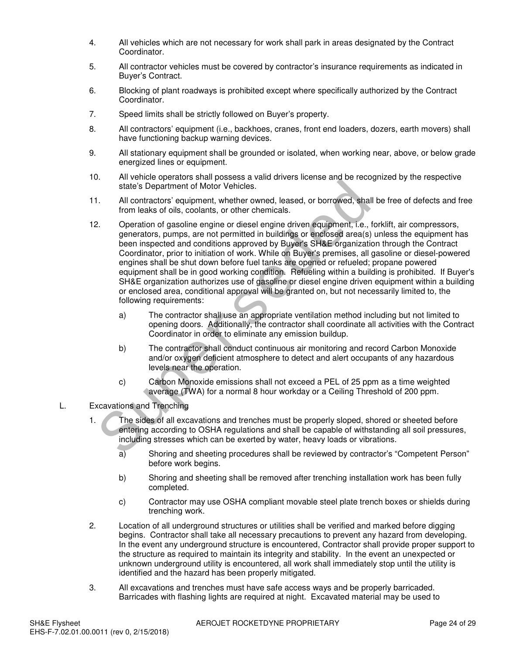- 4. All vehicles which are not necessary for work shall park in areas designated by the Contract Coordinator.
- 5. All contractor vehicles must be covered by contractor's insurance requirements as indicated in Buyer's Contract.
- 6. Blocking of plant roadways is prohibited except where specifically authorized by the Contract Coordinator.
- 7. Speed limits shall be strictly followed on Buyer's property.
- 8. All contractors' equipment (i.e., backhoes, cranes, front end loaders, dozers, earth movers) shall have functioning backup warning devices.
- 9. All stationary equipment shall be grounded or isolated, when working near, above, or below grade energized lines or equipment.
- 10. All vehicle operators shall possess a valid drivers license and be recognized by the respective state's Department of Motor Vehicles.
- 11. All contractors' equipment, whether owned, leased, or borrowed, shall be free of defects and free from leaks of oils, coolants, or other chemicals.
- 12. Operation of gasoline engine or diesel engine driven equipment, i.e., forklift, air compressors, generators, pumps, are not permitted in buildings or enclosed area(s) unless the equipment has been inspected and conditions approved by Buyer's SH&E organization through the Contract Coordinator, prior to initiation of work. While on Buyer's premises, all gasoline or diesel-powered engines shall be shut down before fuel tanks are opened or refueled; propane powered equipment shall be in good working condition. Refueling within a building is prohibited. If Buyer's SH&E organization authorizes use of gasoline or diesel engine driven equipment within a building or enclosed area, conditional approval will be granted on, but not necessarily limited to, the following requirements: state's Department of Motor Vehicles.<br>
All contractors' equipment, whether owned, leased, or borrowed, shall<br>
from leaks of oils, coolants, or other chemicals.<br>
Operation of gasoline engine or drissed engine driven equipme
	- a) The contractor shall use an appropriate ventilation method including but not limited to opening doors. Additionally, the contractor shall coordinate all activities with the Contract Coordinator in order to eliminate any emission buildup.
	- b) The contractor shall conduct continuous air monitoring and record Carbon Monoxide and/or oxygen deficient atmosphere to detect and alert occupants of any hazardous levels near the operation.
	- c) Carbon Monoxide emissions shall not exceed a PEL of 25 ppm as a time weighted average (TWA) for a normal 8 hour workday or a Ceiling Threshold of 200 ppm.
- L. Excavations and Trenching
	- 1. The sides of all excavations and trenches must be properly sloped, shored or sheeted before entering according to OSHA regulations and shall be capable of withstanding all soil pressures, including stresses which can be exerted by water, heavy loads or vibrations.
		- a) Shoring and sheeting procedures shall be reviewed by contractor's "Competent Person" before work begins.
		- b) Shoring and sheeting shall be removed after trenching installation work has been fully completed.
		- c) Contractor may use OSHA compliant movable steel plate trench boxes or shields during trenching work.
	- 2. Location of all underground structures or utilities shall be verified and marked before digging begins. Contractor shall take all necessary precautions to prevent any hazard from developing. In the event any underground structure is encountered, Contractor shall provide proper support to the structure as required to maintain its integrity and stability. In the event an unexpected or unknown underground utility is encountered, all work shall immediately stop until the utility is identified and the hazard has been properly mitigated.
	- 3. All excavations and trenches must have safe access ways and be properly barricaded. Barricades with flashing lights are required at night. Excavated material may be used to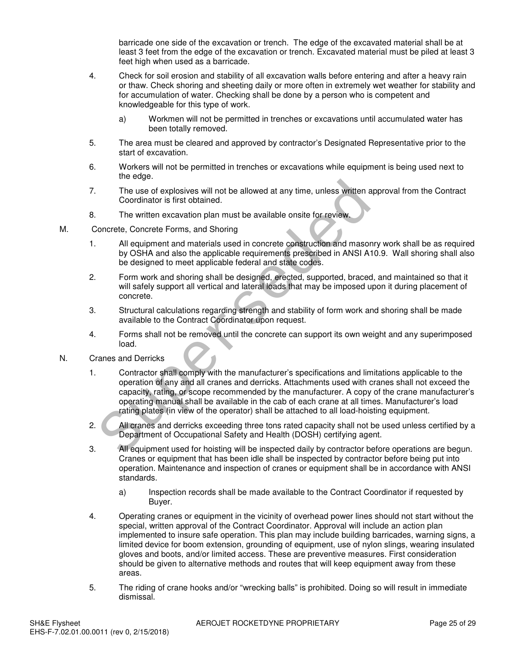barricade one side of the excavation or trench. The edge of the excavated material shall be at least 3 feet from the edge of the excavation or trench. Excavated material must be piled at least 3 feet high when used as a barricade.

- 4. Check for soil erosion and stability of all excavation walls before entering and after a heavy rain or thaw. Check shoring and sheeting daily or more often in extremely wet weather for stability and for accumulation of water. Checking shall be done by a person who is competent and knowledgeable for this type of work.
	- a) Workmen will not be permitted in trenches or excavations until accumulated water has been totally removed.
- 5. The area must be cleared and approved by contractor's Designated Representative prior to the start of excavation.
- 6. Workers will not be permitted in trenches or excavations while equipment is being used next to the edge.
- 7. The use of explosives will not be allowed at any time, unless written approval from the Contract Coordinator is first obtained.
- 8. The written excavation plan must be available onsite for review.
- M. Concrete, Concrete Forms, and Shoring
	- 1. All equipment and materials used in concrete construction and masonry work shall be as required by OSHA and also the applicable requirements prescribed in ANSI A10.9. Wall shoring shall also be designed to meet applicable federal and state codes.
	- 2. Form work and shoring shall be designed, erected, supported, braced, and maintained so that it will safely support all vertical and lateral loads that may be imposed upon it during placement of concrete.
	- 3. Structural calculations regarding strength and stability of form work and shoring shall be made available to the Contract Coordinator upon request.
	- 4. Forms shall not be removed until the concrete can support its own weight and any superimposed load.
- N. Cranes and Derricks
- 1. Contractor shall comply with the manufacturer's specifications and limitations applicable to the operation of any and all cranes and derricks. Attachments used with cranes shall not exceed the capacity, rating, or scope recommended by the manufacturer. A copy of the crane manufacturer's operating manual shall be available in the cab of each crane at all times. Manufacturer's load rating plates (in view of the operator) shall be attached to all load-hoisting equipment. The use of explosives will not be allowed at any time, unless written ap<br>Coordinator is first obtained.<br>The written excavation plan must be available onsite for review.<br>
Increte, Concrete Forms, and Shoring<br>
All equipment
	- 2. All cranes and derricks exceeding three tons rated capacity shall not be used unless certified by a Department of Occupational Safety and Health (DOSH) certifying agent.
	- 3. All equipment used for hoisting will be inspected daily by contractor before operations are begun. Cranes or equipment that has been idle shall be inspected by contractor before being put into operation. Maintenance and inspection of cranes or equipment shall be in accordance with ANSI standards.
		- a) Inspection records shall be made available to the Contract Coordinator if requested by Buyer.
	- 4. Operating cranes or equipment in the vicinity of overhead power lines should not start without the special, written approval of the Contract Coordinator. Approval will include an action plan implemented to insure safe operation. This plan may include building barricades, warning signs, a limited device for boom extension, grounding of equipment, use of nylon slings, wearing insulated gloves and boots, and/or limited access. These are preventive measures. First consideration should be given to alternative methods and routes that will keep equipment away from these areas.
	- 5. The riding of crane hooks and/or "wrecking balls" is prohibited. Doing so will result in immediate dismissal.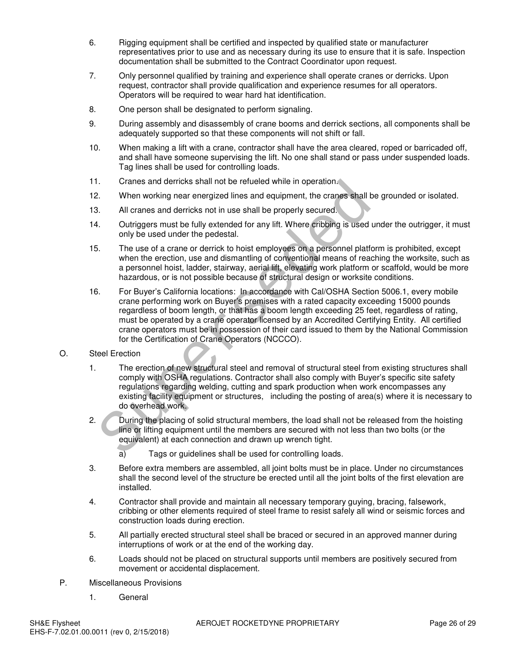- 6. Rigging equipment shall be certified and inspected by qualified state or manufacturer representatives prior to use and as necessary during its use to ensure that it is safe. Inspection documentation shall be submitted to the Contract Coordinator upon request.
- 7. Only personnel qualified by training and experience shall operate cranes or derricks. Upon request, contractor shall provide qualification and experience resumes for all operators. Operators will be required to wear hard hat identification.
- 8. One person shall be designated to perform signaling.
- 9. During assembly and disassembly of crane booms and derrick sections, all components shall be adequately supported so that these components will not shift or fall.
- 10. When making a lift with a crane, contractor shall have the area cleared, roped or barricaded off, and shall have someone supervising the lift. No one shall stand or pass under suspended loads. Tag lines shall be used for controlling loads.
- 11. Cranes and derricks shall not be refueled while in operation.
- 12. When working near energized lines and equipment, the cranes shall be grounded or isolated.
- 13. All cranes and derricks not in use shall be properly secured.
- 14. Outriggers must be fully extended for any lift. Where cribbing is used under the outrigger, it must only be used under the pedestal.
- 15. The use of a crane or derrick to hoist employees on a personnel platform is prohibited, except when the erection, use and dismantling of conventional means of reaching the worksite, such as a personnel hoist, ladder, stairway, aerial lift, elevating work platform or scaffold, would be more hazardous, or is not possible because of structural design or worksite conditions.
- 16. For Buyer's California locations: In accordance with Cal/OSHA Section 5006.1, every mobile crane performing work on Buyer's premises with a rated capacity exceeding 15000 pounds regardless of boom length, or that has a boom length exceeding 25 feet, regardless of rating, must be operated by a crane operator licensed by an Accredited Certifying Entity. All certified crane operators must be in possession of their card issued to them by the National Commission for the Certification of Crane Operators (NCCCO). Cranes and derricks shall not be retuleed while in operation.<br>
When working near energized lines and equipment, the cranes shall b<br>
All cranes and derricks not in use shall be properly secured.<br>
Outriggers must be fully ex
- O. Steel Erection
	- 1. The erection of new structural steel and removal of structural steel from existing structures shall comply with OSHA regulations. Contractor shall also comply with Buyer's specific site safety regulations regarding welding, cutting and spark production when work encompasses any existing facility equipment or structures, including the posting of area(s) where it is necessary to do overhead work.
	- 2. During the placing of solid structural members, the load shall not be released from the hoisting line or lifting equipment until the members are secured with not less than two bolts (or the equivalent) at each connection and drawn up wrench tight.

a) Tags or guidelines shall be used for controlling loads.

- 3. Before extra members are assembled, all joint bolts must be in place. Under no circumstances shall the second level of the structure be erected until all the joint bolts of the first elevation are installed.
- 4. Contractor shall provide and maintain all necessary temporary guying, bracing, falsework, cribbing or other elements required of steel frame to resist safely all wind or seismic forces and construction loads during erection.
- 5. All partially erected structural steel shall be braced or secured in an approved manner during interruptions of work or at the end of the working day.
- 6. Loads should not be placed on structural supports until members are positively secured from movement or accidental displacement.
- P. Miscellaneous Provisions
	- 1. General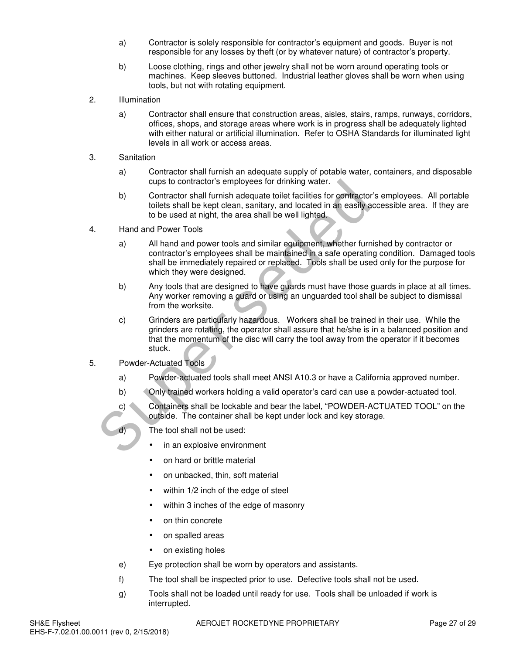- a) Contractor is solely responsible for contractor's equipment and goods. Buyer is not responsible for any losses by theft (or by whatever nature) of contractor's property.
- b) Loose clothing, rings and other jewelry shall not be worn around operating tools or machines. Keep sleeves buttoned. Industrial leather gloves shall be worn when using tools, but not with rotating equipment.
- 2. Illumination
	- a) Contractor shall ensure that construction areas, aisles, stairs, ramps, runways, corridors, offices, shops, and storage areas where work is in progress shall be adequately lighted with either natural or artificial illumination. Refer to OSHA Standards for illuminated light levels in all work or access areas.
- 3. Sanitation
	- a) Contractor shall furnish an adequate supply of potable water, containers, and disposable cups to contractor's employees for drinking water.
	- b) Contractor shall furnish adequate toilet facilities for contractor's employees. All portable toilets shall be kept clean, sanitary, and located in an easily accessible area. If they are to be used at night, the area shall be well lighted.
- 4. Hand and Power Tools
	- a) All hand and power tools and similar equipment, whether furnished by contractor or contractor's employees shall be maintained in a safe operating condition. Damaged tools shall be immediately repaired or replaced. Tools shall be used only for the purpose for which they were designed.
	- b) Any tools that are designed to have guards must have those guards in place at all times. Any worker removing a guard or using an unguarded tool shall be subject to dismissal from the worksite.
- c) Grinders are particularly hazardous. Workers shall be trained in their use. While the grinders are rotating, the operator shall assure that he/she is in a balanced position and that the momentum of the disc will carry the tool away from the operator if it becomes stuck. cups to contractor's employees for drinking water.<br>
b) Contractor's hall furnith adequate toilet facilities for the kept clean, sanitary, and located in an easily at<br>
to be used at night, the area shall be well lighted.<br>
H
- 5. Powder-Actuated Tools
	- a) Powder-actuated tools shall meet ANSI A10.3 or have a California approved number.
	- b) Only trained workers holding a valid operator's card can use a powder-actuated tool.
	- c) Containers shall be lockable and bear the label, "POWDER-ACTUATED TOOL" on the outside. The container shall be kept under lock and key storage.
	- d) The tool shall not be used:
		- in an explosive environment
		- on hard or brittle material
		- on unbacked, thin, soft material
		- within  $1/2$  inch of the edge of steel
		- within 3 inches of the edge of masonry
		- on thin concrete
		- on spalled areas
		- on existing holes
	- e) Eye protection shall be worn by operators and assistants.
	- f) The tool shall be inspected prior to use. Defective tools shall not be used.
	- g) Tools shall not be loaded until ready for use. Tools shall be unloaded if work is interrupted.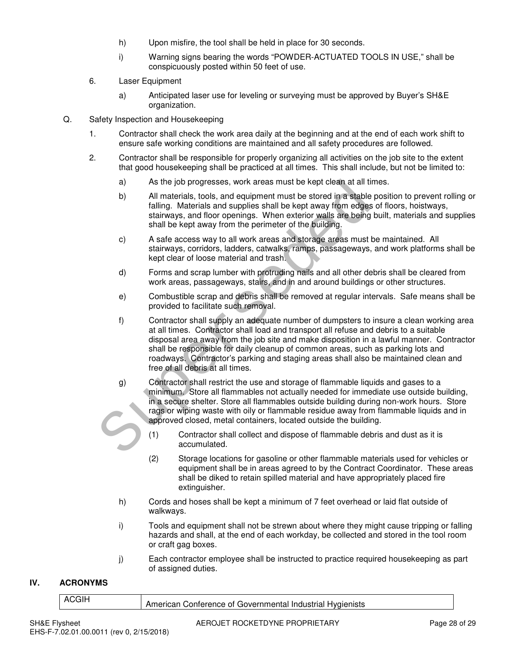- h) Upon misfire, the tool shall be held in place for 30 seconds.
- i) Warning signs bearing the words "POWDER-ACTUATED TOOLS IN USE," shall be conspicuously posted within 50 feet of use.
- 6. Laser Equipment
	- a) Anticipated laser use for leveling or surveying must be approved by Buyer's SH&E organization.
- Q. Safety Inspection and Housekeeping
	- 1. Contractor shall check the work area daily at the beginning and at the end of each work shift to ensure safe working conditions are maintained and all safety procedures are followed.
	- 2. Contractor shall be responsible for properly organizing all activities on the job site to the extent that good housekeeping shall be practiced at all times. This shall include, but not be limited to:
		- a) As the job progresses, work areas must be kept clean at all times.
		- b) All materials, tools, and equipment must be stored in a stable position to prevent rolling or falling. Materials and supplies shall be kept away from edges of floors, hoistways, stairways, and floor openings. When exterior walls are being built, materials and supplies shall be kept away from the perimeter of the building.
		- c) A safe access way to all work areas and storage areas must be maintained. All stairways, corridors, ladders, catwalks, ramps, passageways, and work platforms shall be kept clear of loose material and trash.
		- d) Forms and scrap lumber with protruding nails and all other debris shall be cleared from work areas, passageways, stairs, and in and around buildings or other structures.
		- e) Combustible scrap and debris shall be removed at regular intervals. Safe means shall be provided to facilitate such removal.
		- f) Contractor shall supply an adequate number of dumpsters to insure a clean working area at all times. Contractor shall load and transport all refuse and debris to a suitable disposal area away from the job site and make disposition in a lawful manner. Contractor shall be responsible for daily cleanup of common areas, such as parking lots and roadways. Contractor's parking and staging areas shall also be maintained clean and free of all debris at all times. As the job progresses, work areas must be kept clean at all tim<br>
		b) All materials, tools, and equipment must be stored in a stable<br>
		falling. Materials and supplies shall be kept away from edges<br>
		stainways, and floor openin
			- g) Contractor shall restrict the use and storage of flammable liquids and gases to a minimum. Store all flammables not actually needed for immediate use outside building, in a secure shelter. Store all flammables outside building during non-work hours. Store rags or wiping waste with oily or flammable residue away from flammable liquids and in approved closed, metal containers, located outside the building.
				- (1) Contractor shall collect and dispose of flammable debris and dust as it is accumulated.
				- (2) Storage locations for gasoline or other flammable materials used for vehicles or equipment shall be in areas agreed to by the Contract Coordinator. These areas shall be diked to retain spilled material and have appropriately placed fire extinguisher.
			- h) Cords and hoses shall be kept a minimum of 7 feet overhead or laid flat outside of walkways.
			- i) Tools and equipment shall not be strewn about where they might cause tripping or falling hazards and shall, at the end of each workday, be collected and stored in the tool room or craft gag boxes.
			- j) Each contractor employee shall be instructed to practice required housekeeping as part of assigned duties.

### **IV. ACRONYMS**

|  | Conterence of Governmental Industrial<br>Hvaienists<br>American |
|--|-----------------------------------------------------------------|
|  |                                                                 |